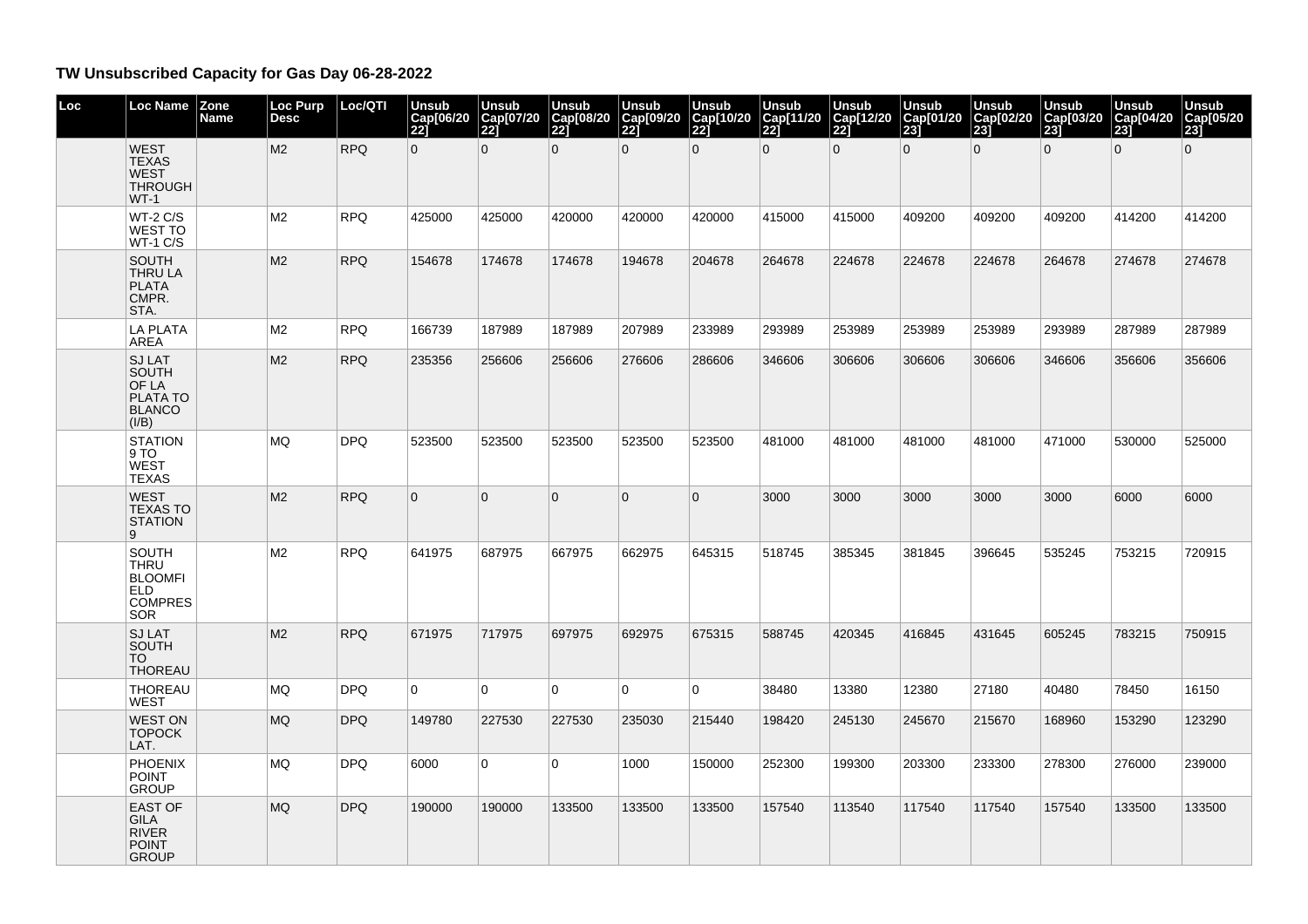## **TW Unsubscribed Capacity for Gas Day 06-28-2022**

| Loc | Loc Name                                                                                    | Zone<br><b>Name</b> | <b>Loc Purp</b><br><b>Desc</b> | Loc/QTI    | <b>Unsub</b><br>Cap[06/20<br>$\overline{221}$ | <b>Unsub</b><br>Cap[07/20<br>221 | <b>Unsub</b><br>Cap[08/20<br>221 | <b>Unsub</b><br>Cap[09/20<br>221 | <b>Unsub</b><br>Cap[10/20<br>221 | <b>Unsub</b><br>Cap[11/20]<br>221 | <b>Unsub</b><br>Cap[12/20<br>221 | <b>Unsub</b><br>Cap[01/20]<br>23 | Unsub<br>Cap[02/20<br>231 | <b>Unsub</b><br>Cap[03/20<br>231 | <b>Unsub</b><br>Cap[04/20<br>231 | <b>Unsub</b><br>Cap[05/20<br>23 |
|-----|---------------------------------------------------------------------------------------------|---------------------|--------------------------------|------------|-----------------------------------------------|----------------------------------|----------------------------------|----------------------------------|----------------------------------|-----------------------------------|----------------------------------|----------------------------------|---------------------------|----------------------------------|----------------------------------|---------------------------------|
|     | <b>WEST</b><br><b>TEXAS</b><br><b>WEST</b><br><b>THROUGH</b><br>$WT-1$                      |                     | M <sub>2</sub>                 | <b>RPQ</b> | $\overline{0}$                                | $\overline{0}$                   | $\Omega$                         | $\overline{0}$                   | $\overline{0}$                   | $\Omega$                          | $\overline{0}$                   | $\Omega$                         | $\overline{0}$            | $\overline{0}$                   | $\overline{0}$                   | $\mathbf{0}$                    |
|     | $WT-2 C/S$<br><b>WEST TO</b><br>$WT-1 C/S$                                                  |                     | M2                             | <b>RPQ</b> | 425000                                        | 425000                           | 420000                           | 420000                           | 420000                           | 415000                            | 415000                           | 409200                           | 409200                    | 409200                           | 414200                           | 414200                          |
|     | <b>SOUTH</b><br><b>THRU LA</b><br><b>PLATA</b><br>CMPR.<br>STA.                             |                     | M <sub>2</sub>                 | <b>RPQ</b> | 154678                                        | 174678                           | 174678                           | 194678                           | 204678                           | 264678                            | 224678                           | 224678                           | 224678                    | 264678                           | 274678                           | 274678                          |
|     | <b>LA PLATA</b><br>AREA                                                                     |                     | M <sub>2</sub>                 | <b>RPQ</b> | 166739                                        | 187989                           | 187989                           | 207989                           | 233989                           | 293989                            | 253989                           | 253989                           | 253989                    | 293989                           | 287989                           | 287989                          |
|     | <b>SJ LAT</b><br><b>SOUTH</b><br>OF LA<br>PLATA TO<br><b>BLANCO</b><br>(I/B)                |                     | M <sub>2</sub>                 | <b>RPQ</b> | 235356                                        | 256606                           | 256606                           | 276606                           | 286606                           | 346606                            | 306606                           | 306606                           | 306606                    | 346606                           | 356606                           | 356606                          |
|     | <b>STATION</b><br>9 TO<br><b>WEST</b><br><b>TEXAS</b>                                       |                     | <b>MQ</b>                      | <b>DPQ</b> | 523500                                        | 523500                           | 523500                           | 523500                           | 523500                           | 481000                            | 481000                           | 481000                           | 481000                    | 471000                           | 530000                           | 525000                          |
|     | <b>WEST</b><br><b>TEXAS TO</b><br><b>STATION</b><br>9                                       |                     | M <sub>2</sub>                 | <b>RPQ</b> | $\overline{0}$                                | $\overline{0}$                   | $\overline{0}$                   | $\Omega$                         | $\mathbf{0}$                     | 3000                              | 3000                             | 3000                             | 3000                      | 3000                             | 6000                             | 6000                            |
|     | <b>SOUTH</b><br><b>THRU</b><br><b>BLOOMFI</b><br><b>ELD</b><br><b>COMPRES</b><br><b>SOR</b> |                     | M <sub>2</sub>                 | <b>RPQ</b> | 641975                                        | 687975                           | 667975                           | 662975                           | 645315                           | 518745                            | 385345                           | 381845                           | 396645                    | 535245                           | 753215                           | 720915                          |
|     | <b>SJLAT</b><br><b>SOUTH</b><br><b>TO</b><br><b>THOREAU</b>                                 |                     | M <sub>2</sub>                 | <b>RPQ</b> | 671975                                        | 717975                           | 697975                           | 692975                           | 675315                           | 588745                            | 420345                           | 416845                           | 431645                    | 605245                           | 783215                           | 750915                          |
|     | <b>THOREAU</b><br><b>WEST</b>                                                               |                     | <b>MQ</b>                      | <b>DPQ</b> | $\overline{0}$                                | 0                                | 0                                | $\overline{0}$                   | $\Omega$                         | 38480                             | 13380                            | 12380                            | 27180                     | 40480                            | 78450                            | 16150                           |
|     | <b>WEST ON</b><br><b>TOPOCK</b><br>LAT.                                                     |                     | <b>MQ</b>                      | <b>DPQ</b> | 149780                                        | 227530                           | 227530                           | 235030                           | 215440                           | 198420                            | 245130                           | 245670                           | 215670                    | 168960                           | 153290                           | 123290                          |
|     | <b>PHOENIX</b><br><b>POINT</b><br><b>GROUP</b>                                              |                     | <b>MQ</b>                      | <b>DPQ</b> | 6000                                          | $\overline{0}$                   | $\Omega$                         | 1000                             | 150000                           | 252300                            | 199300                           | 203300                           | 233300                    | 278300                           | 276000                           | 239000                          |
|     | <b>EAST OF</b><br><b>GILA</b><br><b>RIVER</b><br><b>POINT</b><br><b>GROUP</b>               |                     | <b>MQ</b>                      | <b>DPQ</b> | 190000                                        | 190000                           | 133500                           | 133500                           | 133500                           | 157540                            | 113540                           | 117540                           | 117540                    | 157540                           | 133500                           | 133500                          |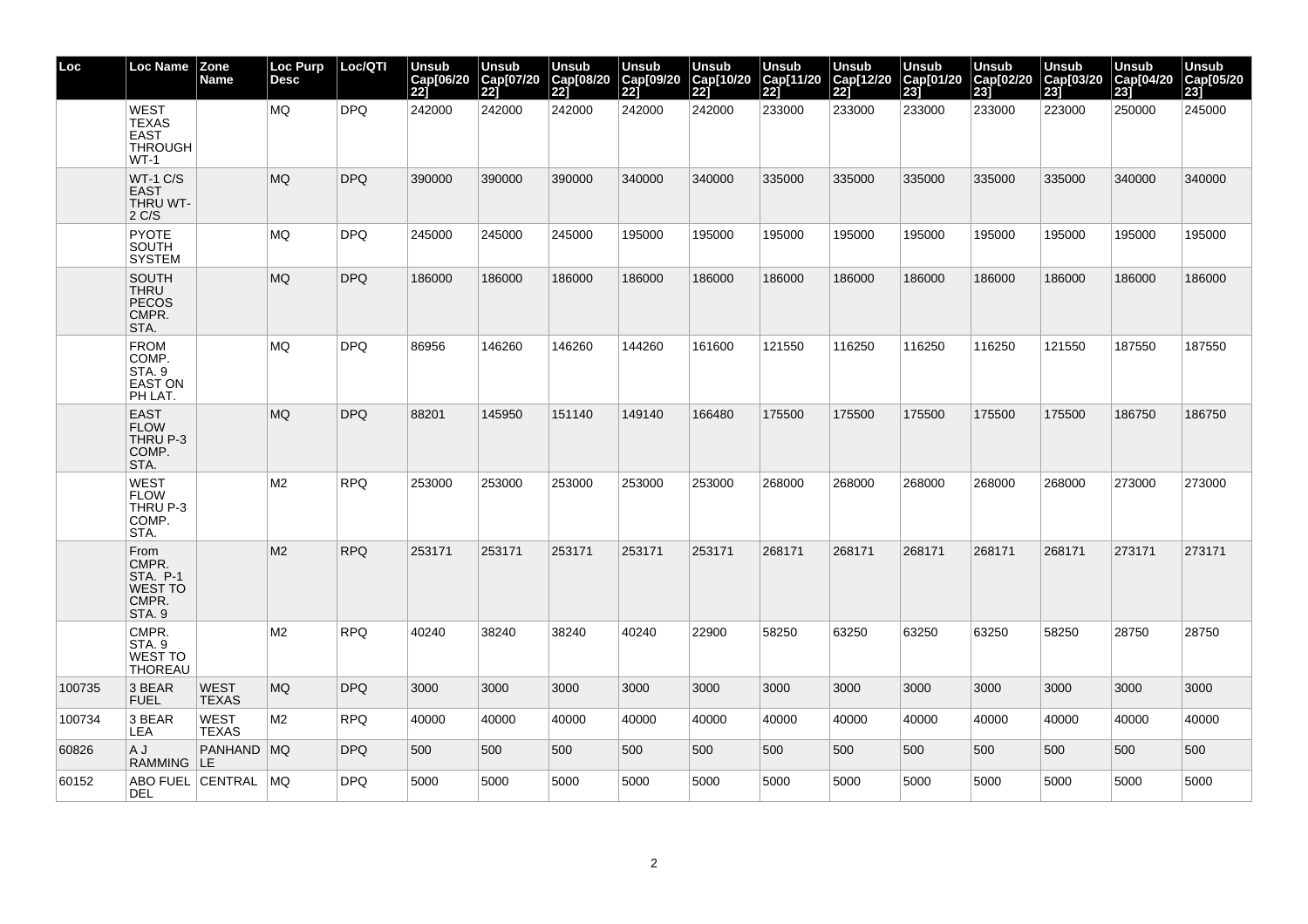| Loc    | <b>Loc Name</b>                                                      | Zone<br><b>Name</b>         | Loc Purp<br><b>Desc</b> | Loc/QTI    | Unsub<br>Cap[06/20<br>221 | Unsub<br>Cap[07/20<br>221 | <b>Unsub</b><br>Cap[08/20<br>22j | <b>Unsub</b><br>Cap[09/20<br>221 | <b>Unsub</b><br>Cap[10/20<br>221 | Unsub<br>Cap[11/20<br>221 | Unsub<br>Cap[12/20<br>221 | <b>Unsub</b><br>Cap[01/20<br>$\overline{23}$ | <b>Unsub</b><br>Cap[02/20<br><b>231</b> | Unsub<br>Cap[03/20<br>23 | Unsub<br>Cap[04/20<br>23 | <b>Unsub</b><br>Cap[05/20<br>23] |
|--------|----------------------------------------------------------------------|-----------------------------|-------------------------|------------|---------------------------|---------------------------|----------------------------------|----------------------------------|----------------------------------|---------------------------|---------------------------|----------------------------------------------|-----------------------------------------|--------------------------|--------------------------|----------------------------------|
|        | <b>WEST</b><br><b>TEXAS</b><br><b>EAST</b><br>THROUGH<br>WT-1        |                             | MQ                      | DPQ        | 242000                    | 242000                    | 242000                           | 242000                           | 242000                           | 233000                    | 233000                    | 233000                                       | 233000                                  | 223000                   | 250000                   | 245000                           |
|        | <b>WT-1 C/S</b><br><b>EAST</b><br>THRU WT-<br>2 C/S                  |                             | <b>MQ</b>               | DPQ        | 390000                    | 390000                    | 390000                           | 340000                           | 340000                           | 335000                    | 335000                    | 335000                                       | 335000                                  | 335000                   | 340000                   | 340000                           |
|        | <b>PYOTE</b><br>SOUTH<br><b>SYSTEM</b>                               |                             | MQ                      | <b>DPQ</b> | 245000                    | 245000                    | 245000                           | 195000                           | 195000                           | 195000                    | 195000                    | 195000                                       | 195000                                  | 195000                   | 195000                   | 195000                           |
|        | <b>SOUTH</b><br><b>THRU</b><br><b>PECOS</b><br>CMPR.<br>STA.         |                             | <b>MQ</b>               | <b>DPQ</b> | 186000                    | 186000                    | 186000                           | 186000                           | 186000                           | 186000                    | 186000                    | 186000                                       | 186000                                  | 186000                   | 186000                   | 186000                           |
|        | <b>FROM</b><br>COMP.<br>STA.9<br><b>EAST ON</b><br>PH LAT.           |                             | <b>MQ</b>               | <b>DPQ</b> | 86956                     | 146260                    | 146260                           | 144260                           | 161600                           | 121550                    | 116250                    | 116250                                       | 116250                                  | 121550                   | 187550                   | 187550                           |
|        | <b>EAST</b><br><b>FLOW</b><br>THRU P-3<br>COMP.<br>STA.              |                             | <b>MQ</b>               | <b>DPQ</b> | 88201                     | 145950                    | 151140                           | 149140                           | 166480                           | 175500                    | 175500                    | 175500                                       | 175500                                  | 175500                   | 186750                   | 186750                           |
|        | <b>WEST</b><br><b>FLOW</b><br>THRU P-3<br>COMP.<br>STA.              |                             | M <sub>2</sub>          | RPQ        | 253000                    | 253000                    | 253000                           | 253000                           | 253000                           | 268000                    | 268000                    | 268000                                       | 268000                                  | 268000                   | 273000                   | 273000                           |
|        | From<br>CMPR.<br><b>STA. P-1</b><br><b>WEST TO</b><br>CMPR.<br>STA.9 |                             | M <sub>2</sub>          | <b>RPQ</b> | 253171                    | 253171                    | 253171                           | 253171                           | 253171                           | 268171                    | 268171                    | 268171                                       | 268171                                  | 268171                   | 273171                   | 273171                           |
|        | CMPR.<br>STA.9<br><b>WEST TO</b><br><b>THOREAU</b>                   |                             | M <sub>2</sub>          | <b>RPQ</b> | 40240                     | 38240                     | 38240                            | 40240                            | 22900                            | 58250                     | 63250                     | 63250                                        | 63250                                   | 58250                    | 28750                    | 28750                            |
| 100735 | 3 BEAR<br><b>FUEL</b>                                                | <b>WEST</b><br><b>TEXAS</b> | MQ.                     | DPQ        | 3000                      | 3000                      | 3000                             | 3000                             | 3000                             | 3000                      | 3000                      | 3000                                         | 3000                                    | 3000                     | 3000                     | 3000                             |
| 100734 | 3 BEAR<br>LEA                                                        | <b>WEST</b><br><b>TEXAS</b> | M <sub>2</sub>          | RPQ        | 40000                     | 40000                     | 40000                            | 40000                            | 40000                            | 40000                     | 40000                     | 40000                                        | 40000                                   | 40000                    | 40000                    | 40000                            |
| 60826  | A J<br>RAMMING LE                                                    | PANHAND MQ                  |                         | DPQ        | 500                       | 500                       | 500                              | 500                              | 500                              | 500                       | 500                       | 500                                          | 500                                     | 500                      | 500                      | 500                              |
| 60152  | DEL                                                                  | ABO FUEL CENTRAL            | MQ                      | <b>DPQ</b> | 5000                      | 5000                      | 5000                             | 5000                             | 5000                             | 5000                      | 5000                      | 5000                                         | 5000                                    | 5000                     | 5000                     | 5000                             |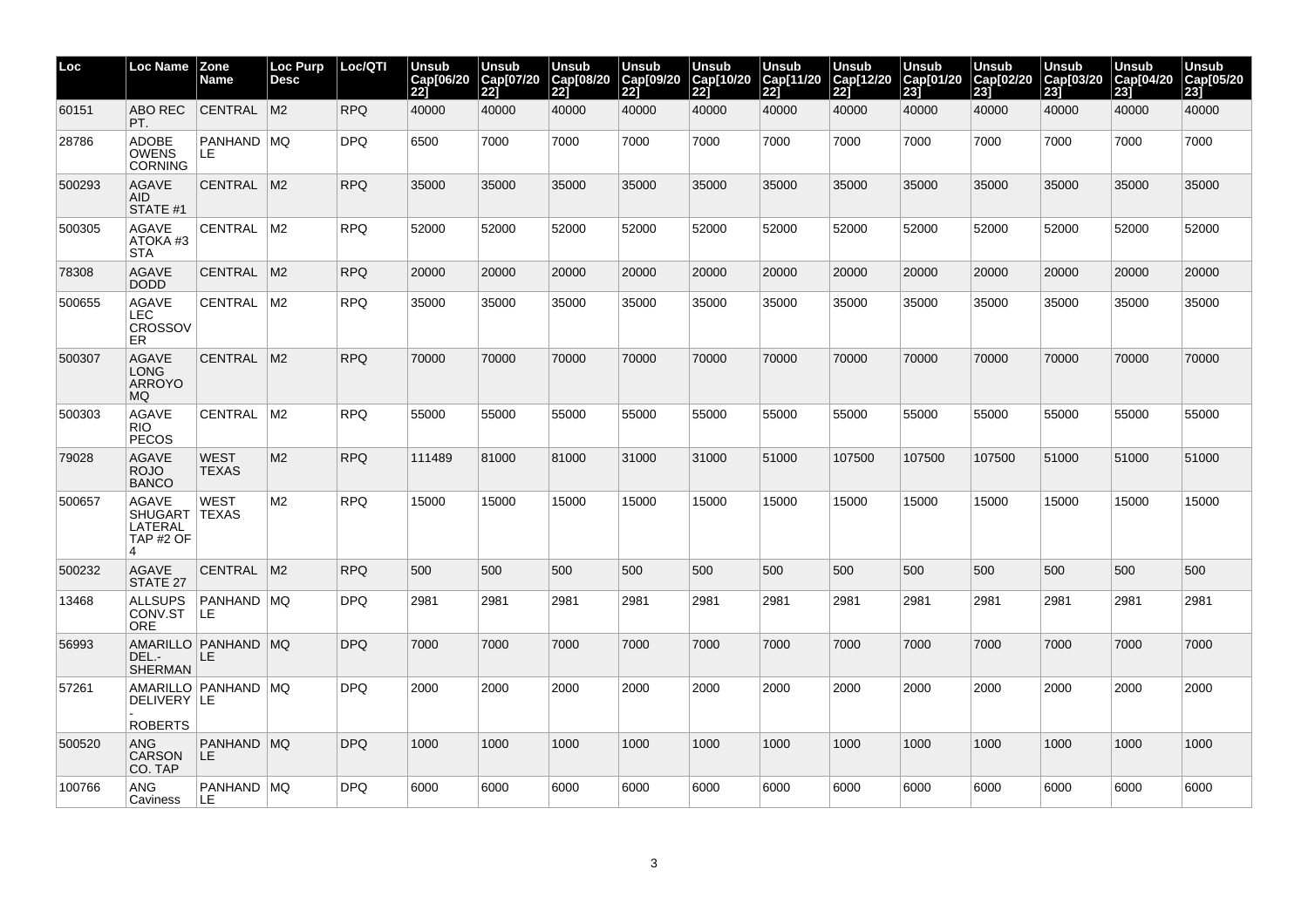| Loc    | Loc Name                                                    | <b>Zone</b><br>Name         | <b>Loc Purp</b><br><b>Desc</b> | Loc/QTI    | Unsub<br>Cap[06/20<br>221 | Unsub<br>Cap[07/20<br>221 | <b>Unsub</b><br>Cap[08/20<br> 22] | <b>Unsub</b><br>Cap[09/20<br>221 | <b>Unsub</b><br>Cap[10/20<br>221 | Unsub<br>Cap[11/20<br>221 | Unsub<br>Cap[12/20<br>221 | <b>Unsub</b><br>Cap[01/20<br>23j | Unsub<br>Cap[02/20<br>231 | <b>Unsub</b><br>Cap[03/20<br>231 | <b>Unsub</b><br>Cap[04/20<br>231 | <b>Unsub</b><br>Cap[05/20<br>23j |
|--------|-------------------------------------------------------------|-----------------------------|--------------------------------|------------|---------------------------|---------------------------|-----------------------------------|----------------------------------|----------------------------------|---------------------------|---------------------------|----------------------------------|---------------------------|----------------------------------|----------------------------------|----------------------------------|
| 60151  | ABO REC<br>PT.                                              | CENTRAL M2                  |                                | <b>RPQ</b> | 40000                     | 40000                     | 40000                             | 40000                            | 40000                            | 40000                     | 40000                     | 40000                            | 40000                     | 40000                            | 40000                            | 40000                            |
| 28786  | <b>ADOBE</b><br><b>OWENS</b><br><b>CORNING</b>              | PANHAND MQ<br>LE.           |                                | <b>DPQ</b> | 6500                      | 7000                      | 7000                              | 7000                             | 7000                             | 7000                      | 7000                      | 7000                             | 7000                      | 7000                             | 7000                             | 7000                             |
| 500293 | <b>AGAVE</b><br><b>AID</b><br>STATE #1                      | CENTRAL                     | M <sub>2</sub>                 | <b>RPQ</b> | 35000                     | 35000                     | 35000                             | 35000                            | 35000                            | 35000                     | 35000                     | 35000                            | 35000                     | 35000                            | 35000                            | 35000                            |
| 500305 | <b>AGAVE</b><br>ATOKA#3<br><b>STA</b>                       | CENTRAL                     | $\mathsf{M}2$                  | <b>RPQ</b> | 52000                     | 52000                     | 52000                             | 52000                            | 52000                            | 52000                     | 52000                     | 52000                            | 52000                     | 52000                            | 52000                            | 52000                            |
| 78308  | <b>AGAVE</b><br><b>DODD</b>                                 | CENTRAL M2                  |                                | <b>RPQ</b> | 20000                     | 20000                     | 20000                             | 20000                            | 20000                            | 20000                     | 20000                     | 20000                            | 20000                     | 20000                            | 20000                            | 20000                            |
| 500655 | <b>AGAVE</b><br><b>LEC</b><br><b>CROSSOV</b><br>ER.         | <b>CENTRAL</b>              | M <sub>2</sub>                 | <b>RPQ</b> | 35000                     | 35000                     | 35000                             | 35000                            | 35000                            | 35000                     | 35000                     | 35000                            | 35000                     | 35000                            | 35000                            | 35000                            |
| 500307 | <b>AGAVE</b><br><b>LONG</b><br><b>ARROYO</b><br>MQ.         | CENTRAL                     | M <sub>2</sub>                 | <b>RPQ</b> | 70000                     | 70000                     | 70000                             | 70000                            | 70000                            | 70000                     | 70000                     | 70000                            | 70000                     | 70000                            | 70000                            | 70000                            |
| 500303 | AGAVE<br>RIO.<br><b>PECOS</b>                               | CENTRAL                     | $\mathsf{M}2$                  | <b>RPQ</b> | 55000                     | 55000                     | 55000                             | 55000                            | 55000                            | 55000                     | 55000                     | 55000                            | 55000                     | 55000                            | 55000                            | 55000                            |
| 79028  | <b>AGAVE</b><br><b>ROJO</b><br><b>BANCO</b>                 | <b>WEST</b><br><b>TEXAS</b> | M <sub>2</sub>                 | <b>RPQ</b> | 111489                    | 81000                     | 81000                             | 31000                            | 31000                            | 51000                     | 107500                    | 107500                           | 107500                    | 51000                            | 51000                            | 51000                            |
| 500657 | <b>AGAVE</b><br><b>SHUGART</b><br>LATERAL<br>TAP #2 OF<br>Δ | <b>WEST</b><br><b>TEXAS</b> | M2                             | <b>RPQ</b> | 15000                     | 15000                     | 15000                             | 15000                            | 15000                            | 15000                     | 15000                     | 15000                            | 15000                     | 15000                            | 15000                            | 15000                            |
| 500232 | <b>AGAVE</b><br>STATE 27                                    | CENTRAL                     | IM2                            | <b>RPQ</b> | 500                       | 500                       | 500                               | 500                              | 500                              | 500                       | 500                       | 500                              | 500                       | 500                              | 500                              | 500                              |
| 13468  | <b>ALLSUPS</b><br>CONV.ST<br><b>ORE</b>                     | PANHAND MQ<br>ILE.          |                                | <b>DPQ</b> | 2981                      | 2981                      | 2981                              | 2981                             | 2981                             | 2981                      | 2981                      | 2981                             | 2981                      | 2981                             | 2981                             | 2981                             |
| 56993  | DEL.-<br><b>SHERMAN</b>                                     | AMARILLO PANHAND MQ<br>LE   |                                | <b>DPQ</b> | 7000                      | 7000                      | 7000                              | 7000                             | 7000                             | 7000                      | 7000                      | 7000                             | 7000                      | 7000                             | 7000                             | 7000                             |
| 57261  | DELIVERY LE                                                 | AMARILLO PANHAND MQ         |                                | <b>DPQ</b> | 2000                      | 2000                      | 2000                              | 2000                             | 2000                             | 2000                      | 2000                      | 2000                             | 2000                      | 2000                             | 2000                             | 2000                             |
| 500520 | <b>ROBERTS</b><br><b>ANG</b>                                | PANHAND MQ                  |                                | <b>DPQ</b> | 1000                      | 1000                      | 1000                              | 1000                             | 1000                             | 1000                      | 1000                      | 1000                             | 1000                      | 1000                             | 1000                             | 1000                             |
|        | <b>CARSON</b><br>CO. TAP                                    | LE.                         |                                |            |                           |                           |                                   |                                  |                                  |                           |                           |                                  |                           |                                  |                                  |                                  |
| 100766 | <b>ANG</b><br>Caviness                                      | PANHAND MQ<br>ILE.          |                                | <b>DPQ</b> | 6000                      | 6000                      | 6000                              | 6000                             | 6000                             | 6000                      | 6000                      | 6000                             | 6000                      | 6000                             | 6000                             | 6000                             |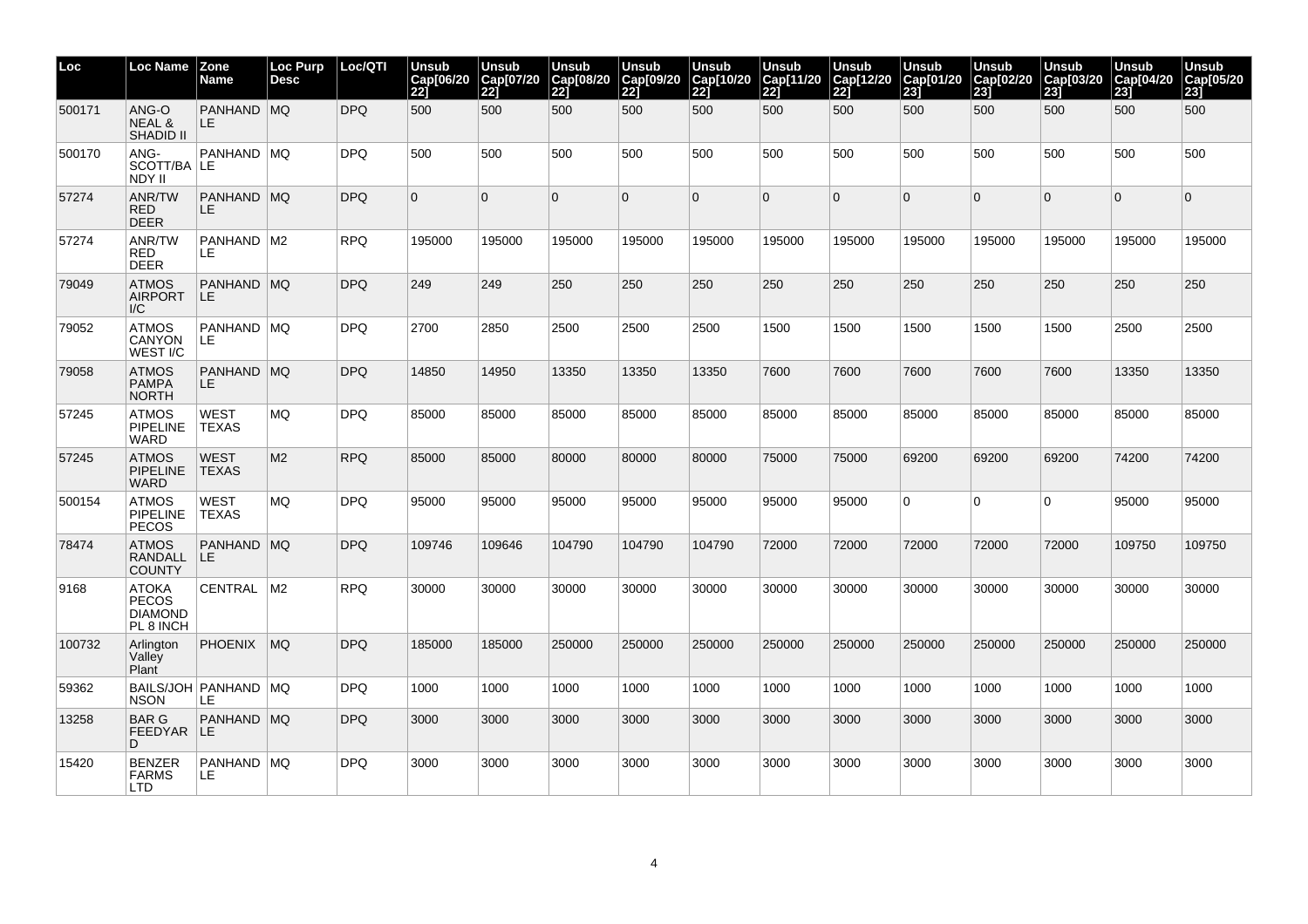| Loc    | Loc Name                                                    | Zone<br>Name                   | Loc Purp<br><b>Desc</b> | Loc/QTI    | Unsub<br>Cap[06/20<br>221 | Unsub<br>Cap[07/20<br>22] | <b>Unsub</b><br>Cap[08/20<br> 22] | <b>Unsub</b><br>Cap[09/20<br>221 | Unsub<br>Cap[10/20<br><b>221</b> | Unsub<br>Cap[11/20<br>221 | Unsub<br>Cap[12/20<br>221 | Unsub<br>Cap[01/20<br> 23] | <b>Unsub</b><br>Cap[02/20<br>231 | Unsub<br>Cap[03/20<br>231 | <b>Unsub</b><br>Cap[04/20<br>231 | <b>Unsub</b><br>Cap[05/20<br>23] |
|--------|-------------------------------------------------------------|--------------------------------|-------------------------|------------|---------------------------|---------------------------|-----------------------------------|----------------------------------|----------------------------------|---------------------------|---------------------------|----------------------------|----------------------------------|---------------------------|----------------------------------|----------------------------------|
| 500171 | ANG-O<br><b>NEAL &amp;</b><br><b>SHADID II</b>              | PANHAND MQ<br>LE.              |                         | <b>DPQ</b> | 500                       | 500                       | 500                               | 500                              | 500                              | 500                       | 500                       | 500                        | 500                              | 500                       | 500                              | 500                              |
| 500170 | ANG-<br>SCOTT/BA LE<br>NDY II                               | PANHAND   MQ                   |                         | DPQ        | 500                       | 500                       | 500                               | 500                              | 500                              | 500                       | 500                       | 500                        | 500                              | 500                       | 500                              | 500                              |
| 57274  | ANR/TW<br><b>RED</b><br><b>DEER</b>                         | PANHAND MQ<br>LE.              |                         | <b>DPQ</b> | $\Omega$                  | $\Omega$                  | 0                                 | $\Omega$                         | $\Omega$                         | $\Omega$                  | $\Omega$                  | $\overline{0}$             | $\Omega$                         | $\Omega$                  | $\Omega$                         | $\Omega$                         |
| 57274  | <b>ANR/TW</b><br><b>RED</b><br><b>DEER</b>                  | PANHAND   M2<br>LE.            |                         | <b>RPQ</b> | 195000                    | 195000                    | 195000                            | 195000                           | 195000                           | 195000                    | 195000                    | 195000                     | 195000                           | 195000                    | 195000                           | 195000                           |
| 79049  | <b>ATMOS</b><br><b>AIRPORT</b><br>$\mathsf{I}/\mathsf{C}$   | PANHAND   MQ<br>ILE.           |                         | <b>DPQ</b> | 249                       | 249                       | 250                               | 250                              | 250                              | 250                       | 250                       | 250                        | 250                              | 250                       | 250                              | 250                              |
| 79052  | <b>ATMOS</b><br><b>CANYON</b><br>WEST I/C                   | PANHAND MQ<br>LE.              |                         | <b>DPQ</b> | 2700                      | 2850                      | 2500                              | 2500                             | 2500                             | 1500                      | 1500                      | 1500                       | 1500                             | 1500                      | 2500                             | 2500                             |
| 79058  | <b>ATMOS</b><br><b>PAMPA</b><br><b>NORTH</b>                | PANHAND MQ<br>LE.              |                         | <b>DPQ</b> | 14850                     | 14950                     | 13350                             | 13350                            | 13350                            | 7600                      | 7600                      | 7600                       | 7600                             | 7600                      | 13350                            | 13350                            |
| 57245  | <b>ATMOS</b><br><b>PIPELINE</b><br><b>WARD</b>              | WEST<br><b>TEXAS</b>           | ΜQ                      | DPQ        | 85000                     | 85000                     | 85000                             | 85000                            | 85000                            | 85000                     | 85000                     | 85000                      | 85000                            | 85000                     | 85000                            | 85000                            |
| 57245  | <b>ATMOS</b><br><b>PIPELINE</b><br><b>WARD</b>              | <b>WEST</b><br><b>TEXAS</b>    | M <sub>2</sub>          | <b>RPQ</b> | 85000                     | 85000                     | 80000                             | 80000                            | 80000                            | 75000                     | 75000                     | 69200                      | 69200                            | 69200                     | 74200                            | 74200                            |
| 500154 | <b>ATMOS</b><br><b>PIPELINE</b><br><b>PECOS</b>             | WEST<br><b>TEXAS</b>           | <b>MQ</b>               | <b>DPQ</b> | 95000                     | 95000                     | 95000                             | 95000                            | 95000                            | 95000                     | 95000                     | $\overline{0}$             | $\overline{0}$                   | $\Omega$                  | 95000                            | 95000                            |
| 78474  | <b>ATMOS</b><br><b>RANDALL</b><br><b>COUNTY</b>             | PANHAND MQ<br>LE.              |                         | <b>DPQ</b> | 109746                    | 109646                    | 104790                            | 104790                           | 104790                           | 72000                     | 72000                     | 72000                      | 72000                            | 72000                     | 109750                           | 109750                           |
| 9168   | <b>ATOKA</b><br><b>PECOS</b><br><b>DIAMOND</b><br>PL 8 INCH | CENTRAL   M2                   |                         | <b>RPQ</b> | 30000                     | 30000                     | 30000                             | 30000                            | 30000                            | 30000                     | 30000                     | 30000                      | 30000                            | 30000                     | 30000                            | 30000                            |
| 100732 | Arlington<br>Valley<br>Plant                                | <b>PHOENIX</b>                 | MQ                      | <b>DPQ</b> | 185000                    | 185000                    | 250000                            | 250000                           | 250000                           | 250000                    | 250000                    | 250000                     | 250000                           | 250000                    | 250000                           | 250000                           |
| 59362  | <b>NSON</b>                                                 | BAILS/JOH   PANHAND   MQ<br>LE |                         | <b>DPQ</b> | 1000                      | 1000                      | 1000                              | 1000                             | 1000                             | 1000                      | 1000                      | 1000                       | 1000                             | 1000                      | 1000                             | 1000                             |
| 13258  | <b>BAR G</b><br>FEEDYAR LE<br>D.                            | PANHAND MQ                     |                         | DPQ        | 3000                      | 3000                      | 3000                              | 3000                             | 3000                             | 3000                      | 3000                      | 3000                       | 3000                             | 3000                      | 3000                             | 3000                             |
| 15420  | <b>BENZER</b><br><b>FARMS</b><br><b>LTD</b>                 | PANHAND MQ<br>LE.              |                         | <b>DPQ</b> | 3000                      | 3000                      | 3000                              | 3000                             | 3000                             | 3000                      | 3000                      | 3000                       | 3000                             | 3000                      | 3000                             | 3000                             |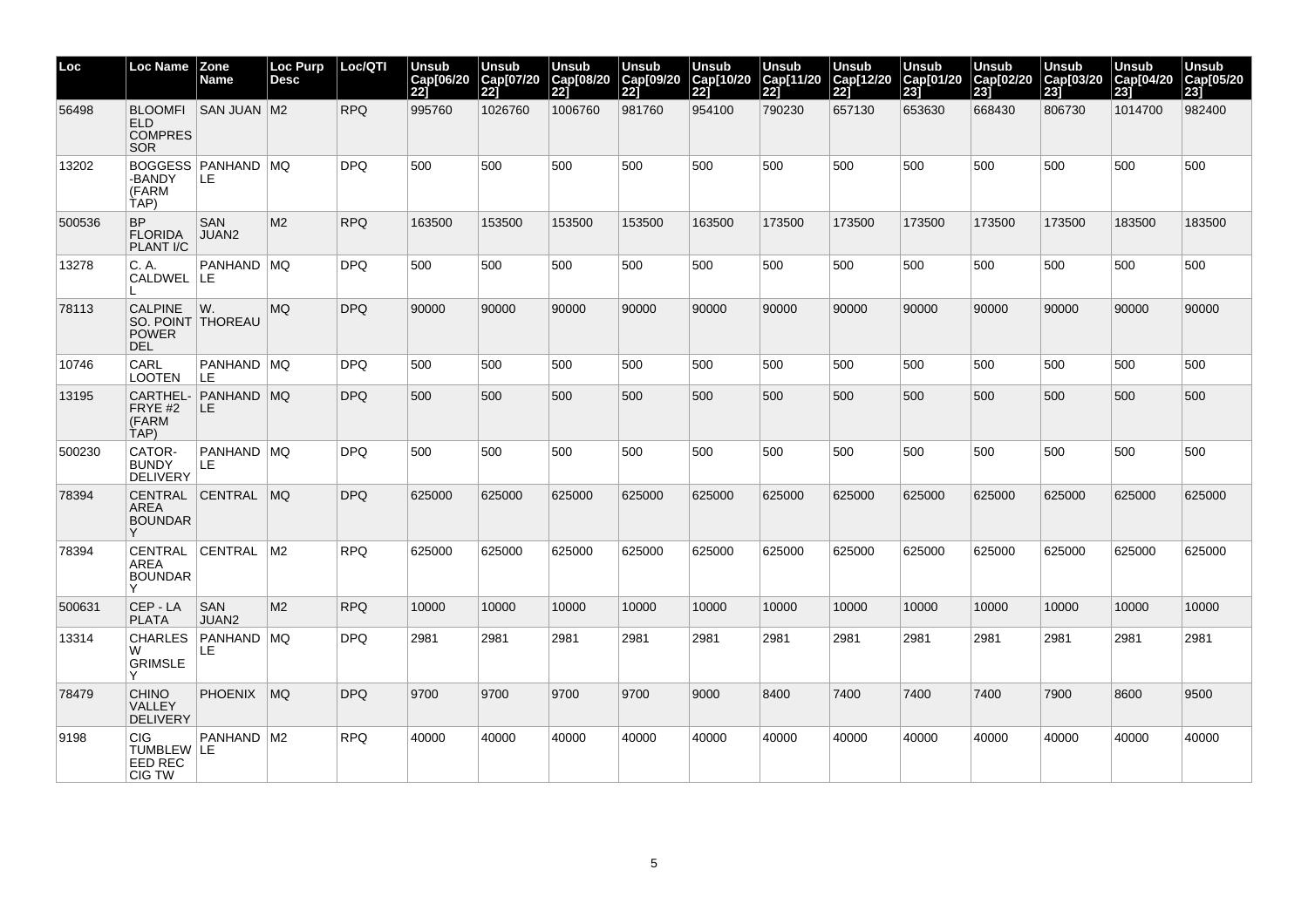| Loc    | <b>Loc Name</b>                                                   | <b>Zone</b><br>Name               | <b>Loc Purp</b><br><b>Desc</b> | Loc/QTI    | Unsub<br>Cap[06/20<br>221 | Unsub<br>Cap[07/20<br>221 | <b>Unsub</b><br>Cap[08/20<br> 22] | <b>Unsub</b><br>Cap[09/20<br>221 | Unsub<br>Cap[10/20<br>221 | <b>Unsub</b><br>Cap[11/20<br>221 | Unsub<br>Cap[12/20<br>221 | Unsub<br>Cap[01/20<br> 23] | <b>Unsub</b><br>Cap[02/20<br>231 | <b>Unsub</b><br>Cap[03/20<br>231 | <b>Unsub</b><br>Cap[04/20<br>231 | <b>Unsub</b><br>Cap[05/20<br>23j |
|--------|-------------------------------------------------------------------|-----------------------------------|--------------------------------|------------|---------------------------|---------------------------|-----------------------------------|----------------------------------|---------------------------|----------------------------------|---------------------------|----------------------------|----------------------------------|----------------------------------|----------------------------------|----------------------------------|
| 56498  | <b>BLOOMFI</b><br>ELD.<br><b>COMPRES</b><br><b>SOR</b>            | <b>SAN JUAN M2</b>                |                                | <b>RPQ</b> | 995760                    | 1026760                   | 1006760                           | 981760                           | 954100                    | 790230                           | 657130                    | 653630                     | 668430                           | 806730                           | 1014700                          | 982400                           |
| 13202  | -BANDY<br>(FARM<br>TAP)                                           | <b>BOGGESS PANHAND MQ</b><br>ILE. |                                | <b>DPQ</b> | 500                       | 500                       | 500                               | 500                              | 500                       | 500                              | 500                       | 500                        | 500                              | 500                              | 500                              | 500                              |
| 500536 | <b>BP</b><br><b>FLORIDA</b><br><b>PLANT I/C</b>                   | <b>SAN</b><br>JUAN2               | M <sub>2</sub>                 | <b>RPQ</b> | 163500                    | 153500                    | 153500                            | 153500                           | 163500                    | 173500                           | 173500                    | 173500                     | 173500                           | 173500                           | 183500                           | 183500                           |
| 13278  | C. A.<br>CALDWEL LE                                               | PANHAND MQ                        |                                | <b>DPQ</b> | 500                       | 500                       | 500                               | 500                              | 500                       | 500                              | 500                       | 500                        | 500                              | 500                              | 500                              | 500                              |
| 78113  | <b>CALPINE</b><br>SO. POINT THOREAU<br><b>POWER</b><br><b>DEL</b> | WW.                               | <b>MQ</b>                      | <b>DPQ</b> | 90000                     | 90000                     | 90000                             | 90000                            | 90000                     | 90000                            | 90000                     | 90000                      | 90000                            | 90000                            | 90000                            | 90000                            |
| 10746  | CARL<br>LOOTEN                                                    | PANHAND   MQ<br>LE                |                                | <b>DPQ</b> | 500                       | 500                       | 500                               | 500                              | 500                       | 500                              | 500                       | 500                        | 500                              | 500                              | 500                              | 500                              |
| 13195  | FRYE #2<br>(FARM<br>TAP)                                          | CARTHEL- PANHAND MQ<br>LE.        |                                | <b>DPQ</b> | 500                       | 500                       | 500                               | 500                              | 500                       | 500                              | 500                       | 500                        | 500                              | 500                              | 500                              | 500                              |
| 500230 | CATOR-<br><b>BUNDY</b><br><b>DELIVERY</b>                         | PANHAND MQ<br>LE.                 |                                | <b>DPQ</b> | 500                       | 500                       | 500                               | 500                              | 500                       | 500                              | 500                       | 500                        | 500                              | 500                              | 500                              | 500                              |
| 78394  | <b>AREA</b><br><b>BOUNDAR</b>                                     | CENTRAL CENTRAL MQ                |                                | <b>DPQ</b> | 625000                    | 625000                    | 625000                            | 625000                           | 625000                    | 625000                           | 625000                    | 625000                     | 625000                           | 625000                           | 625000                           | 625000                           |
| 78394  | <b>AREA</b><br><b>BOUNDAR</b>                                     | CENTRAL CENTRAL                   | IM2                            | <b>RPQ</b> | 625000                    | 625000                    | 625000                            | 625000                           | 625000                    | 625000                           | 625000                    | 625000                     | 625000                           | 625000                           | 625000                           | 625000                           |
| 500631 | CEP-LA<br><b>PLATA</b>                                            | <b>SAN</b><br>JUAN2               | M <sub>2</sub>                 | <b>RPQ</b> | 10000                     | 10000                     | 10000                             | 10000                            | 10000                     | 10000                            | 10000                     | 10000                      | 10000                            | 10000                            | 10000                            | 10000                            |
| 13314  | <b>CHARLES</b><br>W<br><b>GRIMSLE</b>                             | PANHAND   MQ<br>LE.               |                                | DPQ        | 2981                      | 2981                      | 2981                              | 2981                             | 2981                      | 2981                             | 2981                      | 2981                       | 2981                             | 2981                             | 2981                             | 2981                             |
| 78479  | <b>CHINO</b><br>VALLEY<br><b>DELIVERY</b>                         | <b>PHOENIX</b>                    | MO                             | <b>DPQ</b> | 9700                      | 9700                      | 9700                              | 9700                             | 9000                      | 8400                             | 7400                      | 7400                       | 7400                             | 7900                             | 8600                             | 9500                             |
| 9198   | <b>CIG</b><br>TUMBLEW   LE<br>EED REC<br><b>CIG TW</b>            | PANHAND   M2                      |                                | <b>RPQ</b> | 40000                     | 40000                     | 40000                             | 40000                            | 40000                     | 40000                            | 40000                     | 40000                      | 40000                            | 40000                            | 40000                            | 40000                            |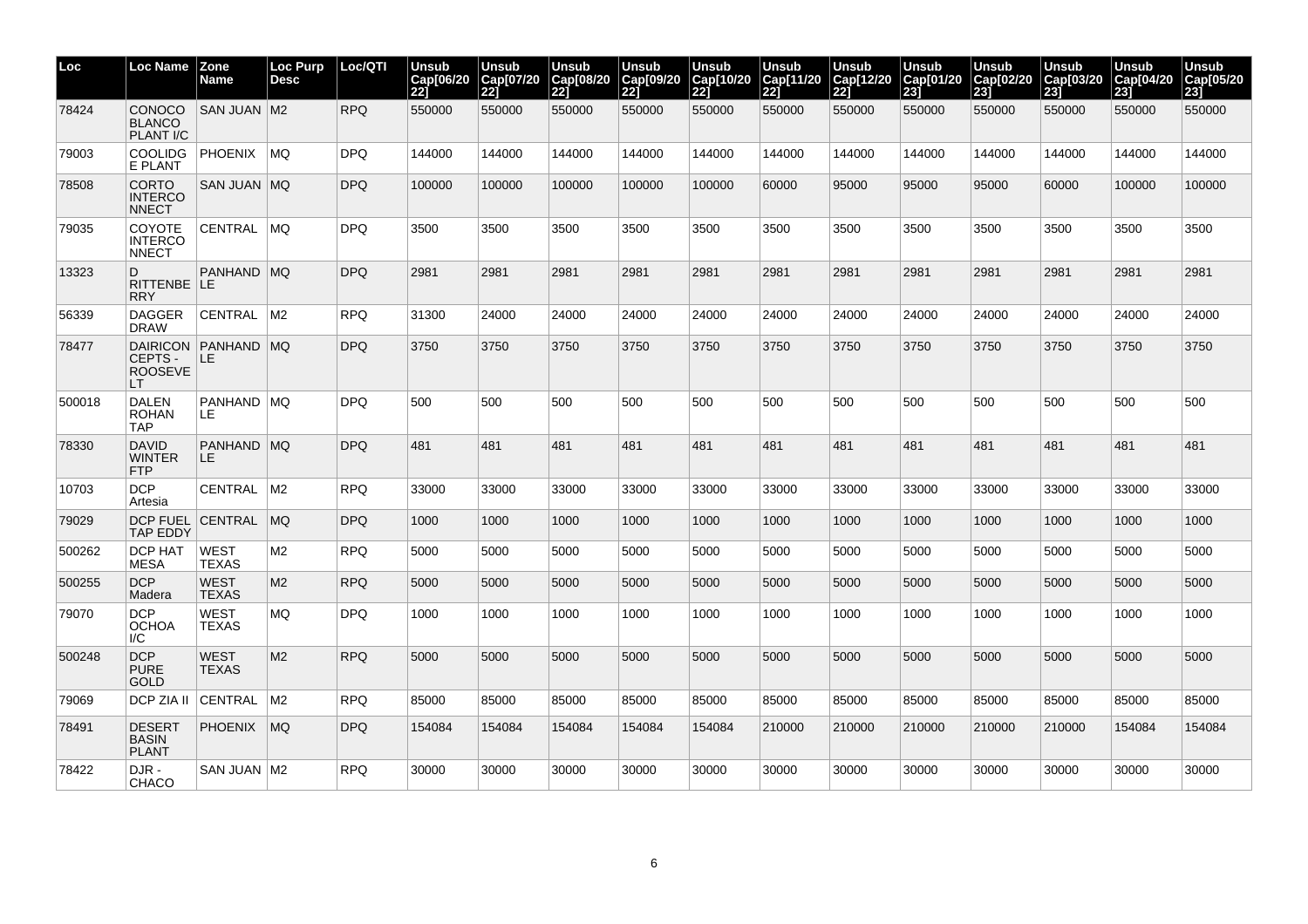| Loc    | Loc Name                                       | <b>Zone</b><br>Name         | <b>Loc Purp</b><br><b>Desc</b> | Loc/QTI    | Unsub<br>Cap[06/20<br>221 | Unsub<br>Cap[07/20<br>22j | Unsub<br>Cap[08/20<br>221 | Unsub<br>Cap[09/20<br>221 | Unsub<br>Cap[10/20<br>221 | Unsub<br>Cap[11/20<br>221 | Unsub<br>Cap[12/20<br>221 | Unsub<br>Cap[01/20<br><b>231</b> | Unsub<br>Cap[02/20<br>231 | Unsub<br>Cap[03/20<br>231 | Unsub<br>Cap[04/20<br>231 | Unsub<br>Cap[05/20<br>231 |
|--------|------------------------------------------------|-----------------------------|--------------------------------|------------|---------------------------|---------------------------|---------------------------|---------------------------|---------------------------|---------------------------|---------------------------|----------------------------------|---------------------------|---------------------------|---------------------------|---------------------------|
| 78424  | <b>CONOCO</b><br><b>BLANCO</b><br>PLANT I/C    | <b>SAN JUAN M2</b>          |                                | <b>RPQ</b> | 550000                    | 550000                    | 550000                    | 550000                    | 550000                    | 550000                    | 550000                    | 550000                           | 550000                    | 550000                    | 550000                    | 550000                    |
| 79003  | <b>COOLIDG</b><br>E PLANT                      | PHOENIX                     | ∣MQ                            | DPQ.       | 144000                    | 144000                    | 144000                    | 144000                    | 144000                    | 144000                    | 144000                    | 144000                           | 144000                    | 144000                    | 144000                    | 144000                    |
| 78508  | <b>CORTO</b><br><b>INTERCO</b><br><b>NNECT</b> | SAN JUAN MQ                 |                                | <b>DPQ</b> | 100000                    | 100000                    | 100000                    | 100000                    | 100000                    | 60000                     | 95000                     | 95000                            | 95000                     | 60000                     | 100000                    | 100000                    |
| 79035  | COYOTE<br><b>INTERCO</b><br><b>NNECT</b>       | CENTRAL MQ                  |                                | DPQ        | 3500                      | 3500                      | 3500                      | 3500                      | 3500                      | 3500                      | 3500                      | 3500                             | 3500                      | 3500                      | 3500                      | 3500                      |
| 13323  | D<br>RITTENBE LE<br><b>RRY</b>                 | PANHAND MQ                  |                                | DPQ        | 2981                      | 2981                      | 2981                      | 2981                      | 2981                      | 2981                      | 2981                      | 2981                             | 2981                      | 2981                      | 2981                      | 2981                      |
| 56339  | <b>DAGGER</b><br><b>DRAW</b>                   | CENTRAL                     | M2                             | <b>RPQ</b> | 31300                     | 24000                     | 24000                     | 24000                     | 24000                     | 24000                     | 24000                     | 24000                            | 24000                     | 24000                     | 24000                     | 24000                     |
| 78477  | CEPTS-<br><b>ROOSEVE</b><br>LТ                 | DAIRICON PANHAND MQ<br>ILE. |                                | DPQ        | 3750                      | 3750                      | 3750                      | 3750                      | 3750                      | 3750                      | 3750                      | 3750                             | 3750                      | 3750                      | 3750                      | 3750                      |
| 500018 | <b>DALEN</b><br><b>ROHAN</b><br><b>TAP</b>     | PANHAND MQ<br>LE.           |                                | <b>DPQ</b> | 500                       | 500                       | 500                       | 500                       | 500                       | 500                       | 500                       | 500                              | 500                       | 500                       | 500                       | 500                       |
| 78330  | <b>DAVID</b><br><b>WINTER</b><br><b>FTP</b>    | PANHAND MQ<br>LE.           |                                | <b>DPQ</b> | 481                       | 481                       | 481                       | 481                       | 481                       | 481                       | 481                       | 481                              | 481                       | 481                       | 481                       | 481                       |
| 10703  | <b>DCP</b><br>Artesia                          | CENTRAL                     | $\mathsf{M}2$                  | RPQ.       | 33000                     | 33000                     | 33000                     | 33000                     | 33000                     | 33000                     | 33000                     | 33000                            | 33000                     | 33000                     | 33000                     | 33000                     |
| 79029  | <b>TAP EDDY</b>                                | DCP FUEL CENTRAL MQ         |                                | <b>DPQ</b> | 1000                      | 1000                      | 1000                      | 1000                      | 1000                      | 1000                      | 1000                      | 1000                             | 1000                      | 1000                      | 1000                      | 1000                      |
| 500262 | DCP HAT<br>MESA                                | <b>WEST</b><br><b>TEXAS</b> | M2                             | RPQ        | 5000                      | 5000                      | 5000                      | 5000                      | 5000                      | 5000                      | 5000                      | 5000                             | 5000                      | 5000                      | 5000                      | 5000                      |
| 500255 | <b>DCP</b><br>Madera                           | <b>WEST</b><br><b>TEXAS</b> | M <sub>2</sub>                 | RPQ        | 5000                      | 5000                      | 5000                      | 5000                      | 5000                      | 5000                      | 5000                      | 5000                             | 5000                      | 5000                      | 5000                      | 5000                      |
| 79070  | <b>DCP</b><br><b>OCHOA</b><br>I/C              | <b>WEST</b><br><b>TEXAS</b> | <b>MQ</b>                      | DPQ.       | 1000                      | 1000                      | 1000                      | 1000                      | 1000                      | 1000                      | 1000                      | 1000                             | 1000                      | 1000                      | 1000                      | 1000                      |
| 500248 | <b>DCP</b><br><b>PURE</b><br><b>GOLD</b>       | <b>WEST</b><br><b>TEXAS</b> | M <sub>2</sub>                 | RPQ        | 5000                      | 5000                      | 5000                      | 5000                      | 5000                      | 5000                      | 5000                      | 5000                             | 5000                      | 5000                      | 5000                      | 5000                      |
| 79069  | DCP ZIA II                                     | CENTRAL                     | M <sub>2</sub>                 | <b>RPQ</b> | 85000                     | 85000                     | 85000                     | 85000                     | 85000                     | 85000                     | 85000                     | 85000                            | 85000                     | 85000                     | 85000                     | 85000                     |
| 78491  | <b>DESERT</b><br><b>BASIN</b><br><b>PLANT</b>  | PHOENIX                     | MQ                             | DPQ        | 154084                    | 154084                    | 154084                    | 154084                    | 154084                    | 210000                    | 210000                    | 210000                           | 210000                    | 210000                    | 154084                    | 154084                    |
| 78422  | DJR-<br><b>CHACO</b>                           | SAN JUAN   M2               |                                | RPQ.       | 30000                     | 30000                     | 30000                     | 30000                     | 30000                     | 30000                     | 30000                     | 30000                            | 30000                     | 30000                     | 30000                     | 30000                     |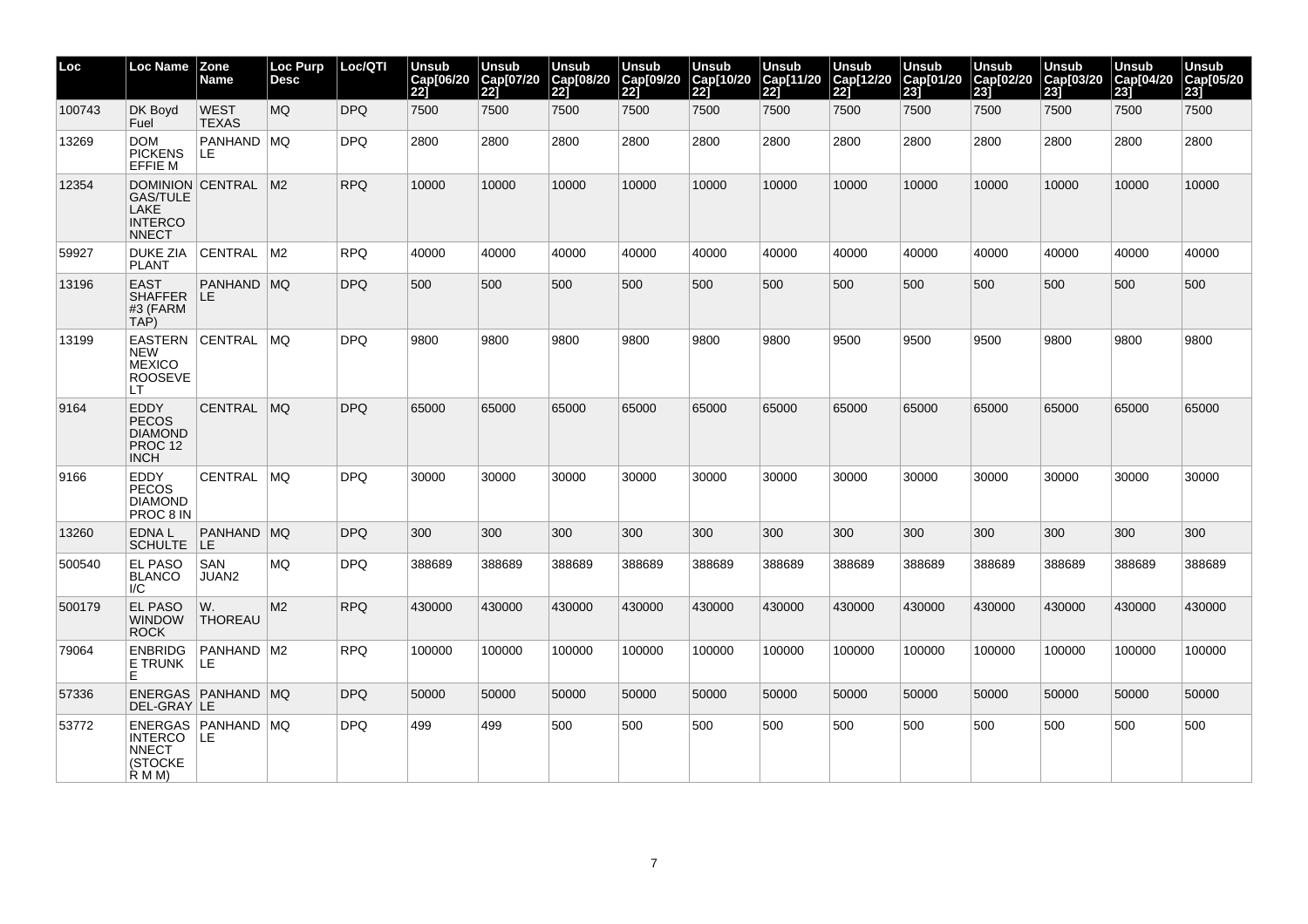| Loc    | Loc Name                                                                       | <b>Zone</b><br>Name         | <b>Loc Purp</b><br><b>Desc</b> | Loc/QTI    | <b>Unsub</b><br>Cap[06/20<br><b>221</b> | <b>Unsub</b><br>Cap[07/20<br><b>221</b> | <b>Unsub</b><br>Cap[08/20]<br>22] | <b>Unsub</b><br>Cap[09/20<br>221 | <b>Unsub</b><br>Cap[10/20<br>221 | <b>Unsub</b><br>Cap[11/20<br>221 | <b>Unsub</b><br>Cap[12/20<br>221 | <b>Unsub</b><br>Cap[01/20<br>$\overline{231}$ | <b>Unsub</b><br>Cap[02/20<br>231 | <b>Unsub</b><br>Cap[03/20<br>23j | <b>Unsub</b><br>Cap[04/20<br>231 | <b>Unsub</b><br>Cap[05/20<br>23j |
|--------|--------------------------------------------------------------------------------|-----------------------------|--------------------------------|------------|-----------------------------------------|-----------------------------------------|-----------------------------------|----------------------------------|----------------------------------|----------------------------------|----------------------------------|-----------------------------------------------|----------------------------------|----------------------------------|----------------------------------|----------------------------------|
| 100743 | DK Boyd<br>Fuel                                                                | <b>WEST</b><br><b>TEXAS</b> | <b>MQ</b>                      | <b>DPQ</b> | 7500                                    | 7500                                    | 7500                              | 7500                             | 7500                             | 7500                             | 7500                             | 7500                                          | 7500                             | 7500                             | 7500                             | 7500                             |
| 13269  | <b>DOM</b><br><b>PICKENS</b><br><b>EFFIE M</b>                                 | PANHAND MQ<br>LE            |                                | <b>DPQ</b> | 2800                                    | 2800                                    | 2800                              | 2800                             | 2800                             | 2800                             | 2800                             | 2800                                          | 2800                             | 2800                             | 2800                             | 2800                             |
| 12354  | DOMINION CENTRAL<br><b>GAS/TULE</b><br>LAKE<br><b>INTERCO</b><br><b>NNECT</b>  |                             | M <sub>2</sub>                 | <b>RPQ</b> | 10000                                   | 10000                                   | 10000                             | 10000                            | 10000                            | 10000                            | 10000                            | 10000                                         | 10000                            | 10000                            | 10000                            | 10000                            |
| 59927  | <b>DUKE ZIA</b><br><b>PLANT</b>                                                | <b>CENTRAL</b>              | M <sub>2</sub>                 | <b>RPQ</b> | 40000                                   | 40000                                   | 40000                             | 40000                            | 40000                            | 40000                            | 40000                            | 40000                                         | 40000                            | 40000                            | 40000                            | 40000                            |
| 13196  | <b>EAST</b><br><b>SHAFFER</b><br>#3 (FARM<br>TAP)                              | PANHAND MQ<br>ILE.          |                                | <b>DPQ</b> | 500                                     | 500                                     | 500                               | 500                              | 500                              | 500                              | 500                              | 500                                           | 500                              | 500                              | 500                              | 500                              |
| 13199  | <b>EASTERN CENTRAL</b><br><b>NEW</b><br><b>MEXICO</b><br><b>ROOSEVE</b><br>LT. |                             | <b>MQ</b>                      | <b>DPQ</b> | 9800                                    | 9800                                    | 9800                              | 9800                             | 9800                             | 9800                             | 9500                             | 9500                                          | 9500                             | 9800                             | 9800                             | 9800                             |
| 9164   | EDDY<br><b>PECOS</b><br><b>DIAMOND</b><br>PROC <sub>12</sub><br><b>INCH</b>    | <b>CENTRAL</b>              | <b>MQ</b>                      | <b>DPQ</b> | 65000                                   | 65000                                   | 65000                             | 65000                            | 65000                            | 65000                            | 65000                            | 65000                                         | 65000                            | 65000                            | 65000                            | 65000                            |
| 9166   | EDDY<br><b>PECOS</b><br><b>DIAMOND</b><br>PROC 8 IN                            | <b>CENTRAL</b>              | MQ                             | <b>DPQ</b> | 30000                                   | 30000                                   | 30000                             | 30000                            | 30000                            | 30000                            | 30000                            | 30000                                         | 30000                            | 30000                            | 30000                            | 30000                            |
| 13260  | EDNA L<br><b>SCHULTE</b>                                                       | PANHAND<br>ILE.             | MO                             | <b>DPQ</b> | 300                                     | 300                                     | 300                               | 300                              | 300                              | 300                              | 300                              | 300                                           | 300                              | 300                              | 300                              | 300                              |
| 500540 | <b>EL PASO</b><br><b>BLANCO</b><br>I/C                                         | <b>SAN</b><br>JUAN2         | MQ                             | <b>DPQ</b> | 388689                                  | 388689                                  | 388689                            | 388689                           | 388689                           | 388689                           | 388689                           | 388689                                        | 388689                           | 388689                           | 388689                           | 388689                           |
| 500179 | <b>EL PASO</b><br><b>WINDOW</b><br><b>ROCK</b>                                 | W.<br><b>THOREAU</b>        | M2                             | <b>RPQ</b> | 430000                                  | 430000                                  | 430000                            | 430000                           | 430000                           | 430000                           | 430000                           | 430000                                        | 430000                           | 430000                           | 430000                           | 430000                           |
| 79064  | <b>ENBRIDG</b><br>E TRUNK<br>Е                                                 | PANHAND<br>LE               | M <sub>2</sub>                 | <b>RPQ</b> | 100000                                  | 100000                                  | 100000                            | 100000                           | 100000                           | 100000                           | 100000                           | 100000                                        | 100000                           | 100000                           | 100000                           | 100000                           |
| 57336  | DEL-GRAY LE                                                                    | ENERGAS   PANHAND   MQ      |                                | <b>DPQ</b> | 50000                                   | 50000                                   | 50000                             | 50000                            | 50000                            | 50000                            | 50000                            | 50000                                         | 50000                            | 50000                            | 50000                            | 50000                            |
| 53772  | INTERCO LE<br><b>NNECT</b><br>(STOCKE<br>R M M)                                | ENERGAS   PANHAND   MQ      |                                | <b>DPQ</b> | 499                                     | 499                                     | 500                               | 500                              | 500                              | 500                              | 500                              | 500                                           | 500                              | 500                              | 500                              | 500                              |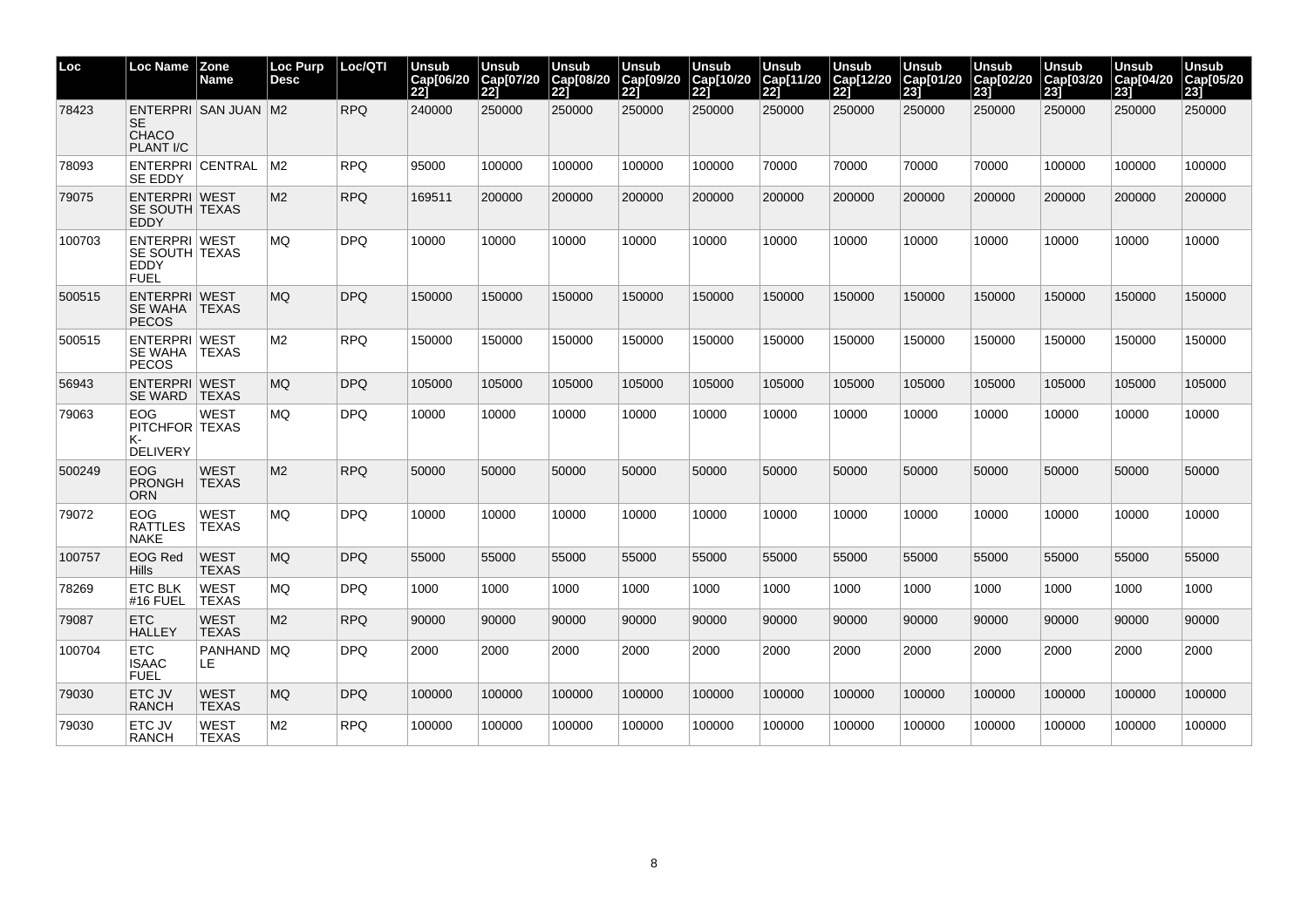| Loc    | Loc Name                                               | Zone<br>Name                | <b>Loc Purp</b><br><b>Desc</b> | Loc/QTI    | Unsub<br>Cap[06/20<br>221 | Unsub<br>Cap[07/20<br>221 | <b>Unsub</b><br>Cap[08/20<br>221 | Unsub<br>Cap[09/20<br><b>221</b> | Unsub<br>Cap[10/20<br>221 | Unsub<br>Cap[11/20<br>221 | <b>Unsub</b><br>Cap[12/20<br><b>221</b> | <b>Unsub</b><br>Cap[01/20<br>231 | Unsub<br>Cap[02/20<br>231 | Unsub<br>Cap[03/20<br>231 | Unsub<br>Cap[04/20<br>231 | Unsub<br>Cap[05/20<br>23j |
|--------|--------------------------------------------------------|-----------------------------|--------------------------------|------------|---------------------------|---------------------------|----------------------------------|----------------------------------|---------------------------|---------------------------|-----------------------------------------|----------------------------------|---------------------------|---------------------------|---------------------------|---------------------------|
| 78423  | <b>SE</b><br>CHACO<br><b>PLANT I/C</b>                 | ENTERPRI SAN JUAN M2        |                                | <b>RPQ</b> | 240000                    | 250000                    | 250000                           | 250000                           | 250000                    | 250000                    | 250000                                  | 250000                           | 250000                    | 250000                    | 250000                    | 250000                    |
| 78093  | <b>SE EDDY</b>                                         | ENTERPRI CENTRAL            | M2.                            | <b>RPQ</b> | 95000                     | 100000                    | 100000                           | 100000                           | 100000                    | 70000                     | 70000                                   | 70000                            | 70000                     | 100000                    | 100000                    | 100000                    |
| 79075  | <b>ENTERPRI WEST</b><br>SE SOUTH TEXAS<br><b>FDDY</b>  |                             | M2                             | <b>RPQ</b> | 169511                    | 200000                    | 200000                           | 200000                           | 200000                    | 200000                    | 200000                                  | 200000                           | 200000                    | 200000                    | 200000                    | 200000                    |
| 100703 | ENTERPRI WEST<br>SE SOUTH TEXAS<br>EDDY<br><b>FUEL</b> |                             | MQ                             | <b>DPQ</b> | 10000                     | 10000                     | 10000                            | 10000                            | 10000                     | 10000                     | 10000                                   | 10000                            | 10000                     | 10000                     | 10000                     | 10000                     |
| 500515 | <b>ENTERPRI WEST</b><br>SE WAHA TEXAS<br><b>PECOS</b>  |                             | MQ.                            | <b>DPQ</b> | 150000                    | 150000                    | 150000                           | 150000                           | 150000                    | 150000                    | 150000                                  | 150000                           | 150000                    | 150000                    | 150000                    | 150000                    |
| 500515 | ENTERPRI WEST<br>SE WAHA TEXAS<br><b>PECOS</b>         |                             | M2                             | <b>RPQ</b> | 150000                    | 150000                    | 150000                           | 150000                           | 150000                    | 150000                    | 150000                                  | 150000                           | 150000                    | 150000                    | 150000                    | 150000                    |
| 56943  | ENTERPRI WEST<br>SE WARD                               | <b>TEXAS</b>                | MQ                             | <b>DPQ</b> | 105000                    | 105000                    | 105000                           | 105000                           | 105000                    | 105000                    | 105000                                  | 105000                           | 105000                    | 105000                    | 105000                    | 105000                    |
| 79063  | EOG<br>PITCHFOR TEXAS<br>к-<br><b>DELIVERY</b>         | <b>WEST</b>                 | MQ                             | <b>DPQ</b> | 10000                     | 10000                     | 10000                            | 10000                            | 10000                     | 10000                     | 10000                                   | 10000                            | 10000                     | 10000                     | 10000                     | 10000                     |
| 500249 | EOG<br><b>PRONGH</b><br><b>ORN</b>                     | <b>WEST</b><br><b>TEXAS</b> | M <sub>2</sub>                 | <b>RPQ</b> | 50000                     | 50000                     | 50000                            | 50000                            | 50000                     | 50000                     | 50000                                   | 50000                            | 50000                     | 50000                     | 50000                     | 50000                     |
| 79072  | EOG.<br><b>RATTLES</b><br><b>NAKE</b>                  | WEST<br>TEXAS               | MQ                             | <b>DPQ</b> | 10000                     | 10000                     | 10000                            | 10000                            | 10000                     | 10000                     | 10000                                   | 10000                            | 10000                     | 10000                     | 10000                     | 10000                     |
| 100757 | <b>EOG Red</b><br><b>Hills</b>                         | <b>WEST</b><br><b>TEXAS</b> | MQ.                            | <b>DPQ</b> | 55000                     | 55000                     | 55000                            | 55000                            | 55000                     | 55000                     | 55000                                   | 55000                            | 55000                     | 55000                     | 55000                     | 55000                     |
| 78269  | <b>ETC BLK</b><br>#16 FUEL                             | <b>WEST</b><br><b>TEXAS</b> | MQ                             | <b>DPQ</b> | 1000                      | 1000                      | 1000                             | 1000                             | 1000                      | 1000                      | 1000                                    | 1000                             | 1000                      | 1000                      | 1000                      | 1000                      |
| 79087  | <b>ETC</b><br><b>HALLEY</b>                            | <b>WEST</b><br><b>TEXAS</b> | M2                             | <b>RPQ</b> | 90000                     | 90000                     | 90000                            | 90000                            | 90000                     | 90000                     | 90000                                   | 90000                            | 90000                     | 90000                     | 90000                     | 90000                     |
| 100704 | <b>ETC</b><br>ISAAC<br><b>FUEL</b>                     | PANHAND   MQ<br>LE.         |                                | <b>DPQ</b> | 2000                      | 2000                      | 2000                             | 2000                             | 2000                      | 2000                      | 2000                                    | 2000                             | 2000                      | 2000                      | 2000                      | 2000                      |
| 79030  | ETC JV<br><b>RANCH</b>                                 | <b>WEST</b><br><b>TEXAS</b> | MQ.                            | <b>DPQ</b> | 100000                    | 100000                    | 100000                           | 100000                           | 100000                    | 100000                    | 100000                                  | 100000                           | 100000                    | 100000                    | 100000                    | 100000                    |
| 79030  | ETC JV<br><b>RANCH</b>                                 | WEST<br>TEXAS               | M2                             | <b>RPQ</b> | 100000                    | 100000                    | 100000                           | 100000                           | 100000                    | 100000                    | 100000                                  | 100000                           | 100000                    | 100000                    | 100000                    | 100000                    |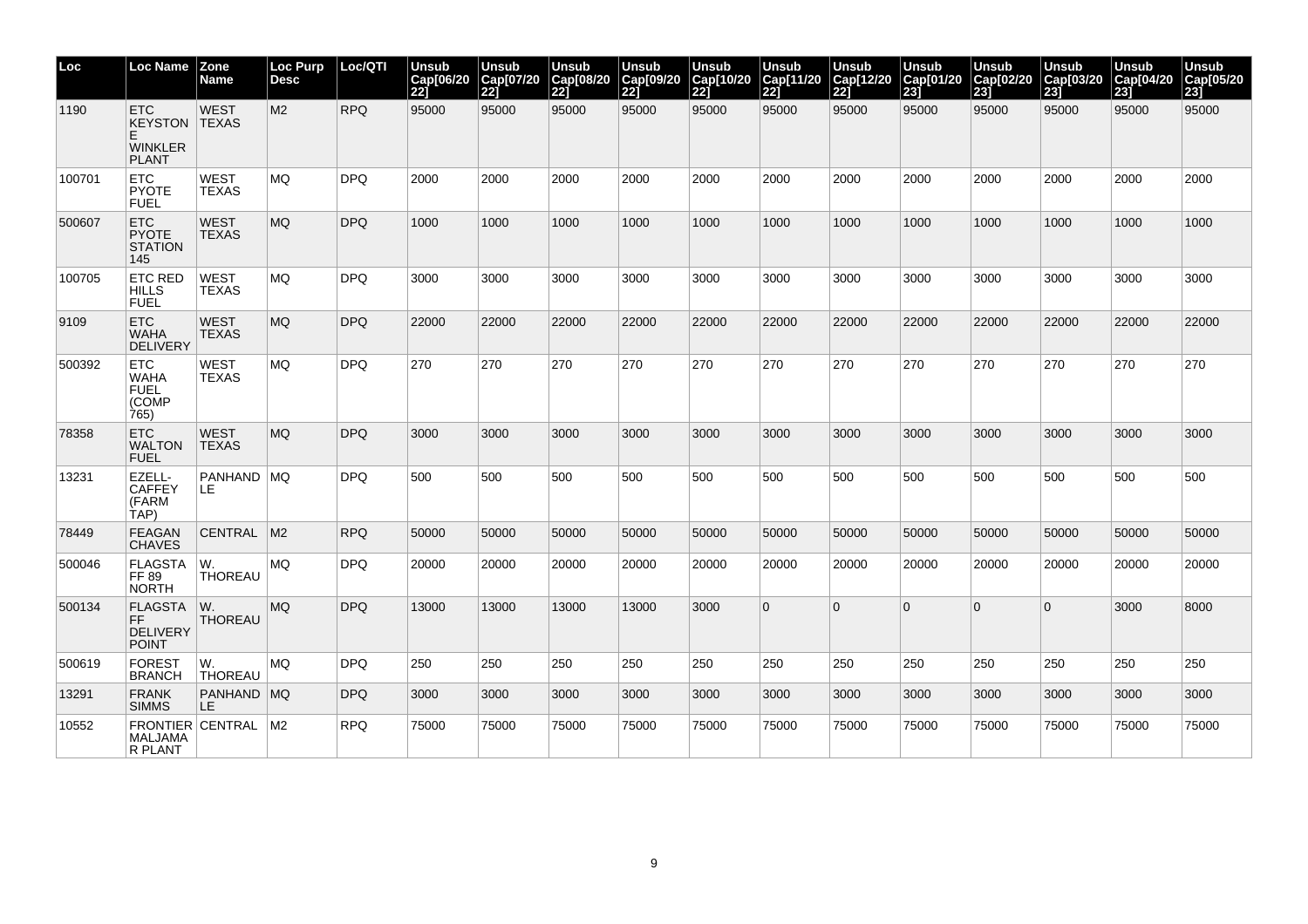| Loc    | Loc Name                                                             | Zone<br>Name                    | <b>Loc Purp</b><br><b>Desc</b> | Loc/QTI    | <b>Unsub</b><br>Cap[06/20<br>221 | Unsub<br>Cap[07/20<br>221 | <b>Unsub</b><br>Cap[08/20<br>$\overline{221}$ | Unsub<br>Cap[09/20<br>221 | <b>Unsub</b><br>Cap[10/20<br>221 | <b>Unsub</b><br>Cap[11/20<br>221 | Unsub<br>Cap[12/20<br><b>221</b> | Unsub<br>Cap[01/20<br>$\overline{231}$ | Unsub<br>Cap[02/20<br>231 | Unsub<br>Cap[03/20<br>231 | Unsub<br>Cap[04/20<br>231 | Unsub<br>Cap[05/20<br>23 |
|--------|----------------------------------------------------------------------|---------------------------------|--------------------------------|------------|----------------------------------|---------------------------|-----------------------------------------------|---------------------------|----------------------------------|----------------------------------|----------------------------------|----------------------------------------|---------------------------|---------------------------|---------------------------|--------------------------|
| 1190   | <b>ETC</b><br><b>KEYSTON</b><br>E.<br><b>WINKLER</b><br><b>PLANT</b> | <b>WEST</b><br><b>TEXAS</b>     | M <sub>2</sub>                 | <b>RPQ</b> | 95000                            | 95000                     | 95000                                         | 95000                     | 95000                            | 95000                            | 95000                            | 95000                                  | 95000                     | 95000                     | 95000                     | 95000                    |
| 100701 | <b>ETC</b><br><b>PYOTE</b><br><b>FUEL</b>                            | <b>WEST</b><br><b>TEXAS</b>     | <b>MQ</b>                      | <b>DPQ</b> | 2000                             | 2000                      | 2000                                          | 2000                      | 2000                             | 2000                             | 2000                             | 2000                                   | 2000                      | 2000                      | 2000                      | 2000                     |
| 500607 | <b>ETC</b><br><b>PYOTE</b><br><b>STATION</b><br>145                  | <b>WEST</b><br><b>TEXAS</b>     | MQ.                            | <b>DPQ</b> | 1000                             | 1000                      | 1000                                          | 1000                      | 1000                             | 1000                             | 1000                             | 1000                                   | 1000                      | 1000                      | 1000                      | 1000                     |
| 100705 | <b>ETC RED</b><br><b>HILLS</b><br>FUEL                               | <b>WEST</b><br><b>TEXAS</b>     | <b>MQ</b>                      | <b>DPQ</b> | 3000                             | 3000                      | 3000                                          | 3000                      | 3000                             | 3000                             | 3000                             | 3000                                   | 3000                      | 3000                      | 3000                      | 3000                     |
| 9109   | <b>ETC</b><br><b>WAHA</b><br><b>DELIVERY</b>                         | <b>WEST</b><br><b>TEXAS</b>     | <b>MQ</b>                      | <b>DPQ</b> | 22000                            | 22000                     | 22000                                         | 22000                     | 22000                            | 22000                            | 22000                            | 22000                                  | 22000                     | 22000                     | 22000                     | 22000                    |
| 500392 | <b>ETC</b><br>WAHA<br><b>FUEL</b><br>(COMP<br>765)                   | <b>WEST</b><br><b>TEXAS</b>     | MQ                             | <b>DPQ</b> | 270                              | 270                       | 270                                           | 270                       | 270                              | 270                              | 270                              | 270                                    | 270                       | 270                       | 270                       | 270                      |
| 78358  | <b>ETC</b><br><b>WALTON</b><br><b>FUEL</b>                           | <b>WEST</b><br><b>TEXAS</b>     | <b>MQ</b>                      | <b>DPQ</b> | 3000                             | 3000                      | 3000                                          | 3000                      | 3000                             | 3000                             | 3000                             | 3000                                   | 3000                      | 3000                      | 3000                      | 3000                     |
| 13231  | EZELL-<br><b>CAFFEY</b><br>(FARM<br>TAP)                             | PANHAND<br>LE                   | MQ                             | <b>DPQ</b> | 500                              | 500                       | 500                                           | 500                       | 500                              | 500                              | 500                              | 500                                    | 500                       | 500                       | 500                       | 500                      |
| 78449  | <b>FEAGAN</b><br><b>CHAVES</b>                                       | <b>CENTRAL</b>                  | M <sub>2</sub>                 | <b>RPQ</b> | 50000                            | 50000                     | 50000                                         | 50000                     | 50000                            | 50000                            | 50000                            | 50000                                  | 50000                     | 50000                     | 50000                     | 50000                    |
| 500046 | <b>FLAGSTA</b><br>FF 89<br><b>NORTH</b>                              | W.<br><b>THOREAU</b>            | <b>MQ</b>                      | <b>DPQ</b> | 20000                            | 20000                     | 20000                                         | 20000                     | 20000                            | 20000                            | 20000                            | 20000                                  | 20000                     | 20000                     | 20000                     | 20000                    |
| 500134 | <b>FLAGSTA</b><br>FF<br><b>DELIVERY</b><br><b>POINT</b>              | $ W_{\cdot} $<br><b>THOREAU</b> | MQ                             | <b>DPQ</b> | 13000                            | 13000                     | 13000                                         | 13000                     | 3000                             | $\overline{0}$                   | $\Omega$                         | $\overline{0}$                         | $\Omega$                  | $\Omega$                  | 3000                      | 8000                     |
| 500619 | <b>FOREST</b><br><b>BRANCH</b>                                       | W.<br>THOREAU                   | <b>MQ</b>                      | <b>DPQ</b> | 250                              | 250                       | 250                                           | 250                       | 250                              | 250                              | 250                              | 250                                    | 250                       | 250                       | 250                       | 250                      |
| 13291  | <b>FRANK</b><br><b>SIMMS</b>                                         | PANHAND<br>LE                   | MQ                             | <b>DPQ</b> | 3000                             | 3000                      | 3000                                          | 3000                      | 3000                             | 3000                             | 3000                             | 3000                                   | 3000                      | 3000                      | 3000                      | 3000                     |
| 10552  | <b>MALJAMA</b><br>R PLANT                                            | FRONTIER CENTRAL                | M <sub>2</sub>                 | <b>RPQ</b> | 75000                            | 75000                     | 75000                                         | 75000                     | 75000                            | 75000                            | 75000                            | 75000                                  | 75000                     | 75000                     | 75000                     | 75000                    |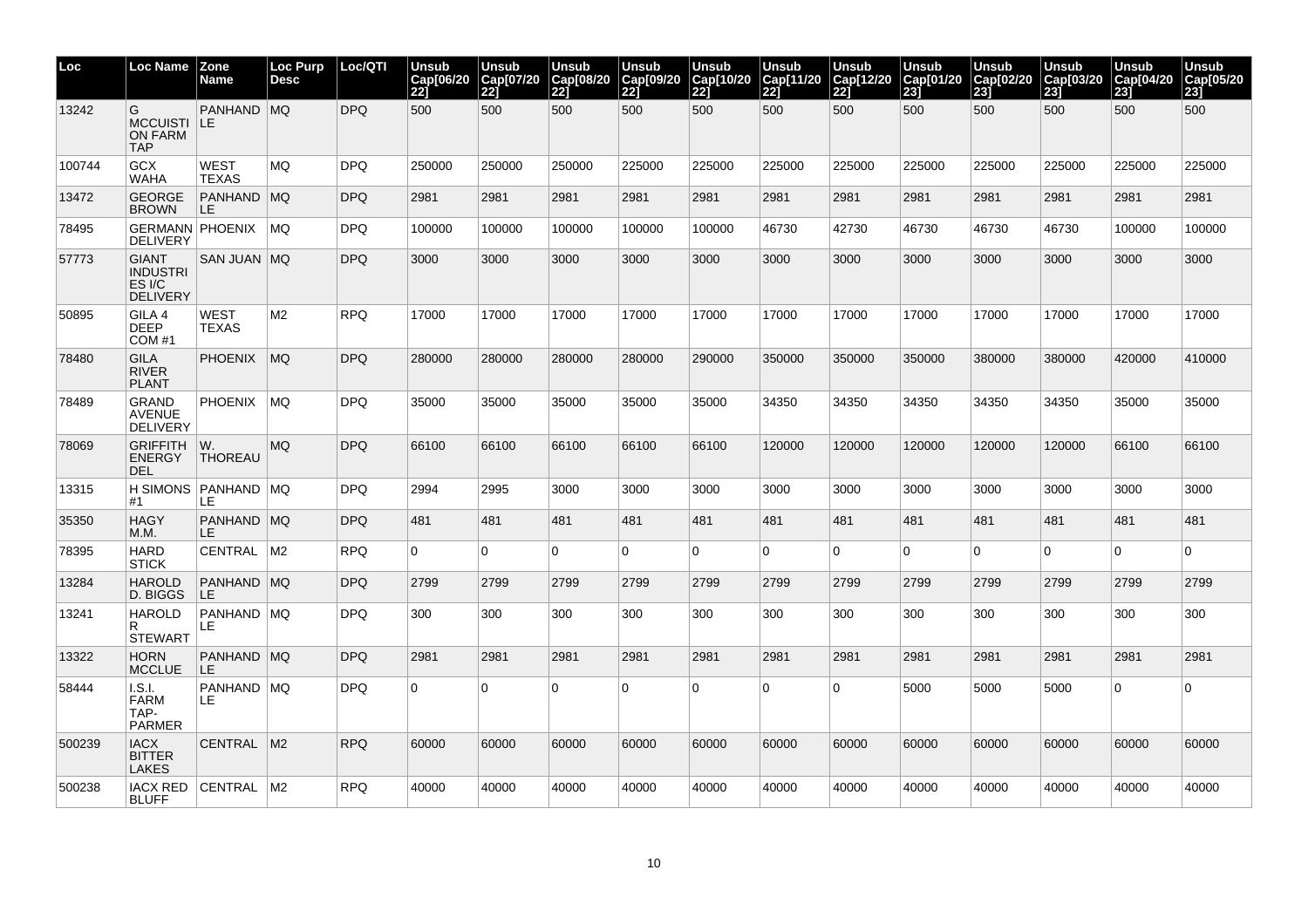| Loc    | <b>Loc Name</b>                                              | Zone<br>Name                   | Loc Purp<br><b>Desc</b> | Loc/QTI    | <b>Unsub</b><br>Cap[06/20<br>221 | <b>Unsub</b><br>Cap[07/20<br>221 | <b>Unsub</b><br>Cap[08/20<br>$\overline{221}$ | Unsub<br>Cap[09/20<br><b>221</b> | <b>Unsub</b><br>Cap[10/20<br>221 | <b>Unsub</b><br>Cap[11/20<br>221 | Unsub<br>Cap[12/20<br><b>221</b> | <b>Unsub</b><br>Cap[01/20<br>$\overline{231}$ | Unsub<br>Cap[02/20<br>231 | <b>Unsub</b><br>Cap[03/20<br>231 | <b>Unsub</b><br>Cap[04/20<br>231 | <b>Unsub</b><br>Cap[05/20<br>23j |
|--------|--------------------------------------------------------------|--------------------------------|-------------------------|------------|----------------------------------|----------------------------------|-----------------------------------------------|----------------------------------|----------------------------------|----------------------------------|----------------------------------|-----------------------------------------------|---------------------------|----------------------------------|----------------------------------|----------------------------------|
| 13242  | G<br>MCCUISTI LE<br><b>ON FARM</b><br><b>TAP</b>             | PANHAND MQ                     |                         | <b>DPQ</b> | 500                              | 500                              | 500                                           | 500                              | 500                              | 500                              | 500                              | 500                                           | 500                       | 500                              | 500                              | 500                              |
| 100744 | GCX<br><b>WAHA</b>                                           | <b>WEST</b><br><b>TEXAS</b>    | MQ.                     | <b>DPQ</b> | 250000                           | 250000                           | 250000                                        | 225000                           | 225000                           | 225000                           | 225000                           | 225000                                        | 225000                    | 225000                           | 225000                           | 225000                           |
| 13472  | <b>GEORGE</b><br><b>BROWN</b>                                | <b>PANHAND MQ</b><br><b>LE</b> |                         | <b>DPQ</b> | 2981                             | 2981                             | 2981                                          | 2981                             | 2981                             | 2981                             | 2981                             | 2981                                          | 2981                      | 2981                             | 2981                             | 2981                             |
| 78495  | <b>GERMANN PHOENIX</b><br><b>DELIVERY</b>                    |                                | MQ                      | DPQ        | 100000                           | 100000                           | 100000                                        | 100000                           | 100000                           | 46730                            | 42730                            | 46730                                         | 46730                     | 46730                            | 100000                           | 100000                           |
| 57773  | <b>GIANT</b><br><b>INDUSTRI</b><br>ES I/C<br><b>DELIVERY</b> | SAN JUAN   MQ                  |                         | <b>DPQ</b> | 3000                             | 3000                             | 3000                                          | 3000                             | 3000                             | 3000                             | 3000                             | 3000                                          | 3000                      | 3000                             | 3000                             | 3000                             |
| 50895  | GILA 4<br>DEEP<br>COM#1                                      | <b>WEST</b><br><b>TEXAS</b>    | M <sub>2</sub>          | <b>RPQ</b> | 17000                            | 17000                            | 17000                                         | 17000                            | 17000                            | 17000                            | 17000                            | 17000                                         | 17000                     | 17000                            | 17000                            | 17000                            |
| 78480  | <b>GILA</b><br><b>RIVER</b><br><b>PLANT</b>                  | <b>PHOENIX</b>                 | <b>MQ</b>               | <b>DPQ</b> | 280000                           | 280000                           | 280000                                        | 280000                           | 290000                           | 350000                           | 350000                           | 350000                                        | 380000                    | 380000                           | 420000                           | 410000                           |
| 78489  | <b>GRAND</b><br><b>AVENUE</b><br>DELIVERY                    | <b>PHOENIX</b>                 | MQ                      | <b>DPQ</b> | 35000                            | 35000                            | 35000                                         | 35000                            | 35000                            | 34350                            | 34350                            | 34350                                         | 34350                     | 34350                            | 35000                            | 35000                            |
| 78069  | <b>GRIFFITH</b><br><b>ENERGY</b><br>DEL                      | W.<br><b>THOREAU</b>           | <b>MQ</b>               | <b>DPQ</b> | 66100                            | 66100                            | 66100                                         | 66100                            | 66100                            | 120000                           | 120000                           | 120000                                        | 120000                    | 120000                           | 66100                            | 66100                            |
| 13315  | <b>H SIMONS</b><br>#1                                        | PANHAND   MQ<br>LE             |                         | <b>DPQ</b> | 2994                             | 2995                             | 3000                                          | 3000                             | 3000                             | 3000                             | 3000                             | 3000                                          | 3000                      | 3000                             | 3000                             | 3000                             |
| 35350  | <b>HAGY</b><br>М.М.                                          | PANHAND MQ<br>LE               |                         | <b>DPQ</b> | 481                              | 481                              | 481                                           | 481                              | 481                              | 481                              | 481                              | 481                                           | 481                       | 481                              | 481                              | 481                              |
| 78395  | <b>HARD</b><br>STICK                                         | <b>CENTRAL</b>                 | M <sub>2</sub>          | <b>RPQ</b> | $\overline{0}$                   | $\Omega$                         | $\overline{0}$                                | $\Omega$                         | 0                                | $\Omega$                         | $\Omega$                         | $\overline{0}$                                | $\Omega$                  | 0                                | $\Omega$                         | $\Omega$                         |
| 13284  | <b>HAROLD</b><br>D. BIGGS                                    | <b>PANHAND MQ</b><br>ILE       |                         | <b>DPQ</b> | 2799                             | 2799                             | 2799                                          | 2799                             | 2799                             | 2799                             | 2799                             | 2799                                          | 2799                      | 2799                             | 2799                             | 2799                             |
| 13241  | <b>HAROLD</b><br><b>STEWART</b>                              | <b>PANHAND MQ</b><br>LE.       |                         | <b>DPQ</b> | 300                              | 300                              | 300                                           | 300                              | 300                              | 300                              | 300                              | 300                                           | 300                       | 300                              | 300                              | 300                              |
| 13322  | <b>HORN</b><br><b>MCCLUE</b>                                 | PANHAND MQ<br>LE               |                         | <b>DPQ</b> | 2981                             | 2981                             | 2981                                          | 2981                             | 2981                             | 2981                             | 2981                             | 2981                                          | 2981                      | 2981                             | 2981                             | 2981                             |
| 58444  | I.S.I.<br><b>FARM</b><br>TAP-<br><b>PARMER</b>               | PANHAND MQ<br>LE               |                         | <b>DPQ</b> | $\Omega$                         | $\Omega$                         | $\overline{0}$                                | $\Omega$                         | 0                                | $\overline{0}$                   | $\Omega$                         | 5000                                          | 5000                      | 5000                             | $\Omega$                         | $\Omega$                         |
| 500239 | <b>IACX</b><br><b>BITTER</b><br><b>LAKES</b>                 | CENTRAL M2                     |                         | <b>RPQ</b> | 60000                            | 60000                            | 60000                                         | 60000                            | 60000                            | 60000                            | 60000                            | 60000                                         | 60000                     | 60000                            | 60000                            | 60000                            |
| 500238 | IACX RED<br><b>BLUFF</b>                                     | CENTRAL   M2                   |                         | <b>RPQ</b> | 40000                            | 40000                            | 40000                                         | 40000                            | 40000                            | 40000                            | 40000                            | 40000                                         | 40000                     | 40000                            | 40000                            | 40000                            |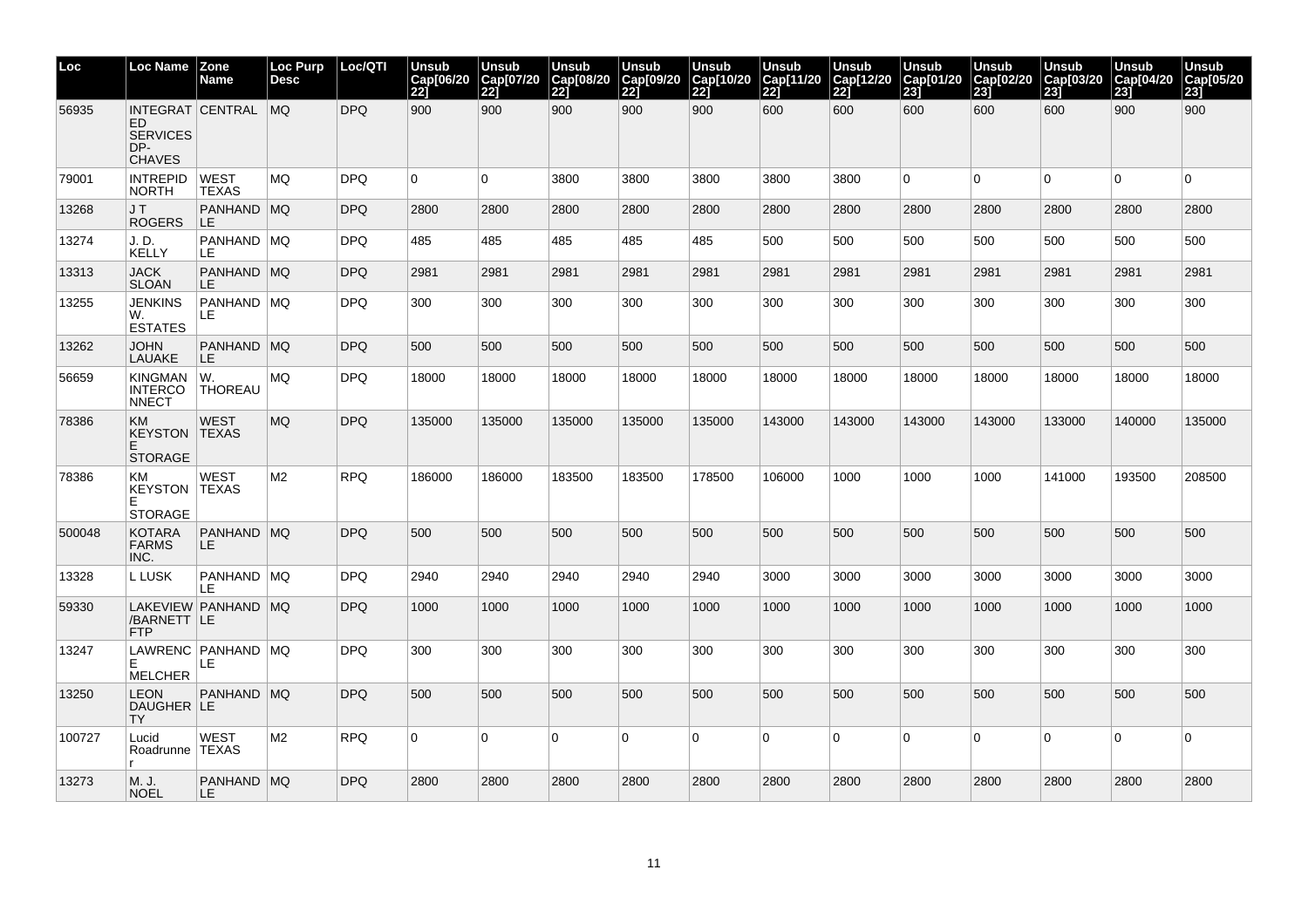| Loc    | <b>Loc Name</b>                                    | Zone<br>Name                 | Loc Purp<br><b>Desc</b> | Loc/QTI    | <b>Unsub</b><br>Cap[06/20<br>221 | Unsub<br>Cap[07/20<br>221 | <b>Unsub</b><br>Cap[08/20<br>$\overline{221}$ | Unsub<br>Cap[09/20<br>221 | <b>Unsub</b><br>Cap[10/20<br><b>221</b> | <b>Unsub</b><br>Cap[11/20<br>221 | <b>Unsub</b><br>Cap[12/20<br>221 | <b>Unsub</b><br>Cap[01/20<br>$\overline{231}$ | <b>Unsub</b><br>Cap[02/20<br>231 | <b>Unsub</b><br>Cap[03/20<br>231 | <b>Unsub</b><br>Cap[04/20<br>23] | <b>Unsub</b><br>Cap[05/20<br>23j |
|--------|----------------------------------------------------|------------------------------|-------------------------|------------|----------------------------------|---------------------------|-----------------------------------------------|---------------------------|-----------------------------------------|----------------------------------|----------------------------------|-----------------------------------------------|----------------------------------|----------------------------------|----------------------------------|----------------------------------|
| 56935  | ED<br><b>SERVICES</b><br>DP-<br><b>CHAVES</b>      | INTEGRAT CENTRAL MQ          |                         | <b>DPQ</b> | 900                              | 900                       | 900                                           | 900                       | 900                                     | 600                              | 600                              | 600                                           | 600                              | 600                              | 900                              | 900                              |
| 79001  | <b>INTREPID</b><br>NORTH                           | <b>WEST</b><br><b>TEXAS</b>  | MQ                      | <b>DPQ</b> | $\overline{0}$                   | $\Omega$                  | 3800                                          | 3800                      | 3800                                    | 3800                             | 3800                             | $\overline{0}$                                | $\mathbf 0$                      | $\Omega$                         | $\overline{0}$                   | $\Omega$                         |
| 13268  | J T<br><b>ROGERS</b>                               | PANHAND MQ<br>ILE.           |                         | <b>DPQ</b> | 2800                             | 2800                      | 2800                                          | 2800                      | 2800                                    | 2800                             | 2800                             | 2800                                          | 2800                             | 2800                             | 2800                             | 2800                             |
| 13274  | J.D.<br><b>KELLY</b>                               | PANHAND   MQ<br>LE.          |                         | <b>DPQ</b> | 485                              | 485                       | 485                                           | 485                       | 485                                     | 500                              | 500                              | 500                                           | 500                              | 500                              | 500                              | 500                              |
| 13313  | <b>JACK</b><br><b>SLOAN</b>                        | PANHAND MQ<br>LE.            |                         | <b>DPQ</b> | 2981                             | 2981                      | 2981                                          | 2981                      | 2981                                    | 2981                             | 2981                             | 2981                                          | 2981                             | 2981                             | 2981                             | 2981                             |
| 13255  | JENKINS<br>W.<br><b>ESTATES</b>                    | PANHAND   MQ<br>LE           |                         | <b>DPQ</b> | 300                              | 300                       | 300                                           | 300                       | 300                                     | 300                              | 300                              | 300                                           | 300                              | 300                              | 300                              | 300                              |
| 13262  | JOHN<br>LAUAKE                                     | PANHAND MQ<br>LE.            |                         | <b>DPQ</b> | 500                              | 500                       | 500                                           | 500                       | 500                                     | 500                              | 500                              | 500                                           | 500                              | 500                              | 500                              | 500                              |
| 56659  | <b>KINGMAN</b><br><b>INTERCO</b><br><b>NNECT</b>   | W.<br><b>THOREAU</b>         | MQ                      | <b>DPQ</b> | 18000                            | 18000                     | 18000                                         | 18000                     | 18000                                   | 18000                            | 18000                            | 18000                                         | 18000                            | 18000                            | 18000                            | 18000                            |
| 78386  | KM<br><b>KEYSTON TEXAS</b><br>E.<br><b>STORAGE</b> | <b>WEST</b>                  | <b>MQ</b>               | <b>DPQ</b> | 135000                           | 135000                    | 135000                                        | 135000                    | 135000                                  | 143000                           | 143000                           | 143000                                        | 143000                           | 133000                           | 140000                           | 135000                           |
| 78386  | KM<br><b>KEYSTON TEXAS</b><br>F<br><b>STORAGE</b>  | <b>WEST</b>                  | M <sub>2</sub>          | <b>RPQ</b> | 186000                           | 186000                    | 183500                                        | 183500                    | 178500                                  | 106000                           | 1000                             | 1000                                          | 1000                             | 141000                           | 193500                           | 208500                           |
| 500048 | <b>KOTARA</b><br><b>FARMS</b><br>INC.              | PANHAND MQ<br>LE.            |                         | <b>DPQ</b> | 500                              | 500                       | 500                                           | 500                       | 500                                     | 500                              | 500                              | 500                                           | 500                              | 500                              | 500                              | 500                              |
| 13328  | L LUSK                                             | PANHAND MQ<br>LE             |                         | <b>DPQ</b> | 2940                             | 2940                      | 2940                                          | 2940                      | 2940                                    | 3000                             | 3000                             | 3000                                          | 3000                             | 3000                             | 3000                             | 3000                             |
| 59330  | /BARNETT   LE<br>FTP.                              | LAKEVIEW PANHAND MQ          |                         | <b>DPQ</b> | 1000                             | 1000                      | 1000                                          | 1000                      | 1000                                    | 1000                             | 1000                             | 1000                                          | 1000                             | 1000                             | 1000                             | 1000                             |
| 13247  | F<br><b>MELCHER</b>                                | LAWRENC   PANHAND   MQ<br>LE |                         | <b>DPQ</b> | 300                              | 300                       | 300                                           | 300                       | 300                                     | 300                              | 300                              | 300                                           | 300                              | 300                              | 300                              | 300                              |
| 13250  | LEON<br>DAUGHER LE<br>TY                           | PANHAND MQ                   |                         | <b>DPQ</b> | 500                              | 500                       | 500                                           | 500                       | 500                                     | 500                              | 500                              | 500                                           | 500                              | 500                              | 500                              | 500                              |
| 100727 | Lucid<br>Roadrunne   TEXAS                         | <b>WEST</b>                  | M2                      | <b>RPQ</b> | $\overline{0}$                   | $\Omega$                  | $\overline{0}$                                | $\Omega$                  | 0                                       | $\overline{0}$                   | $\Omega$                         | $\overline{0}$                                | $\Omega$                         | $\Omega$                         | $\overline{0}$                   | $\Omega$                         |
| 13273  | M. J.<br><b>NOEL</b>                               | PANHAND MQ<br>LE.            |                         | <b>DPQ</b> | 2800                             | 2800                      | 2800                                          | 2800                      | 2800                                    | 2800                             | 2800                             | 2800                                          | 2800                             | 2800                             | 2800                             | 2800                             |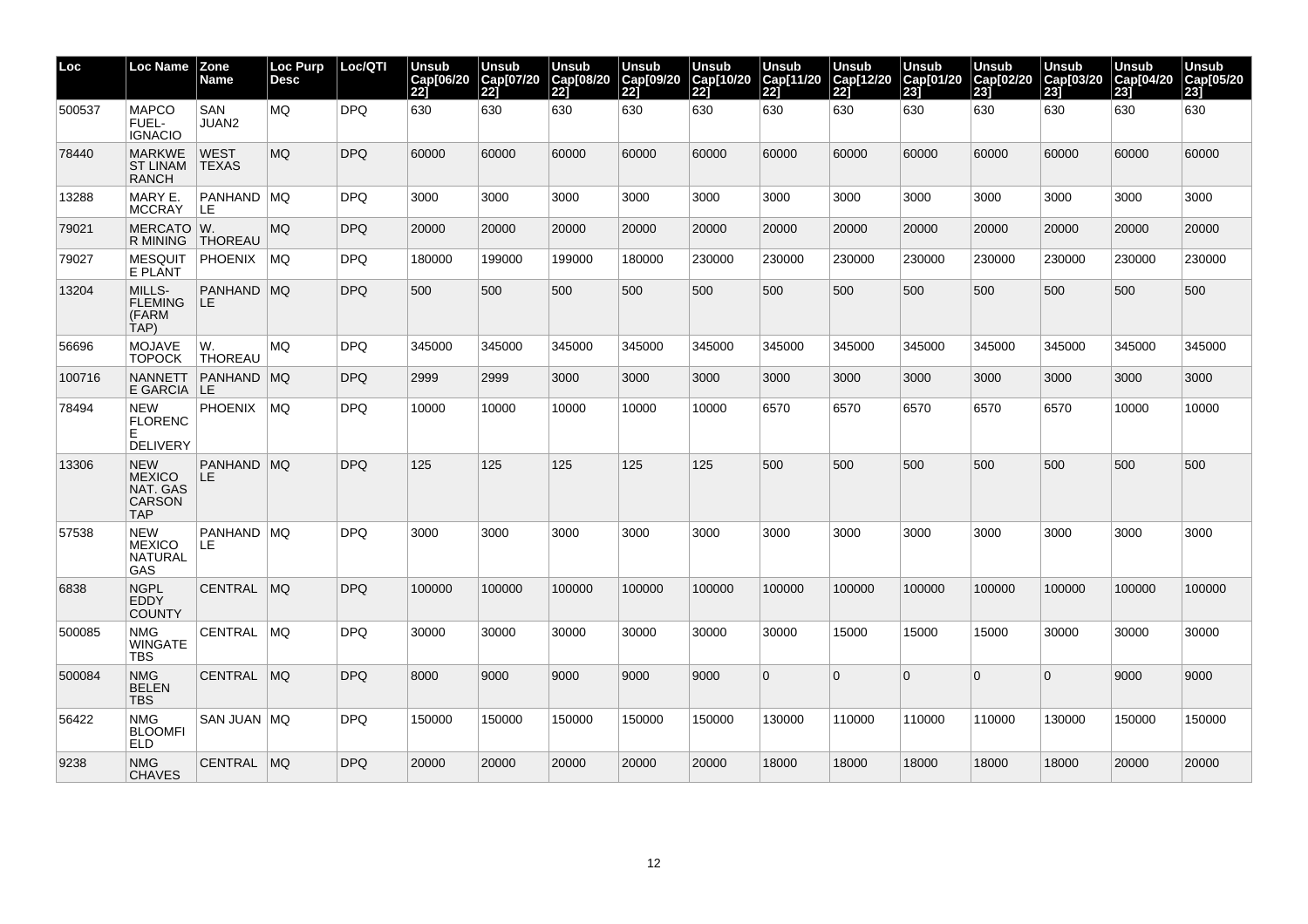| Loc    | <b>Loc Name</b>                                                        | Zone<br>Name                | Loc Purp<br>Desc | Loc/QTI    | Unsub<br>Cap[06/20<br>221 | Unsub<br>Cap[07/20<br>221 | Unsub<br>Cap[08/20<br> 22] | Unsub<br>Cap[09/20<br>221 | Unsub<br>Cap[10/20<br>221 | Unsub<br>Cap[11/20<br>221 | Unsub<br>Cap[12/20<br>221 | <b>Unsub</b><br>Cap[01/20<br>$\overline{231}$ | <b>Unsub</b><br>Cap[02/20<br>231 | Unsub<br>Cap[03/20<br>231 | Unsub<br>Cap[04/20<br>231 | <b>Unsub</b><br>Cap[05/20<br>231 |
|--------|------------------------------------------------------------------------|-----------------------------|------------------|------------|---------------------------|---------------------------|----------------------------|---------------------------|---------------------------|---------------------------|---------------------------|-----------------------------------------------|----------------------------------|---------------------------|---------------------------|----------------------------------|
| 500537 | <b>MAPCO</b><br>FUEL-<br><b>IGNACIO</b>                                | <b>SAN</b><br>JUAN2         | <b>MQ</b>        | <b>DPQ</b> | 630                       | 630                       | 630                        | 630                       | 630                       | 630                       | 630                       | 630                                           | 630                              | 630                       | 630                       | 630                              |
| 78440  | <b>MARKWE</b><br>ST LINAM<br><b>RANCH</b>                              | <b>WEST</b><br><b>TEXAS</b> | <b>MQ</b>        | <b>DPQ</b> | 60000                     | 60000                     | 60000                      | 60000                     | 60000                     | 60000                     | 60000                     | 60000                                         | 60000                            | 60000                     | 60000                     | 60000                            |
| 13288  | MARY E.<br><b>MCCRAY</b>                                               | PANHAND MQ<br>LE            |                  | <b>DPQ</b> | 3000                      | 3000                      | 3000                       | 3000                      | 3000                      | 3000                      | 3000                      | 3000                                          | 3000                             | 3000                      | 3000                      | 3000                             |
| 79021  | MERCATO W.<br>R MINING                                                 | <b>THOREAU</b>              | MQ.              | <b>DPQ</b> | 20000                     | 20000                     | 20000                      | 20000                     | 20000                     | 20000                     | 20000                     | 20000                                         | 20000                            | 20000                     | 20000                     | 20000                            |
| 79027  | <b>MESQUIT</b><br>E PLANT                                              | <b>PHOENIX</b>              | MQ               | <b>DPQ</b> | 180000                    | 199000                    | 199000                     | 180000                    | 230000                    | 230000                    | 230000                    | 230000                                        | 230000                           | 230000                    | 230000                    | 230000                           |
| 13204  | MILLS-<br><b>FLEMING</b><br>(FARM<br>TAP)                              | PANHAND MQ<br>LE.           |                  | <b>DPQ</b> | 500                       | 500                       | 500                        | 500                       | 500                       | 500                       | 500                       | 500                                           | 500                              | 500                       | 500                       | 500                              |
| 56696  | MOJAVE<br>TOPOCK                                                       | W.<br><b>THOREAU</b>        | MQ.              | <b>DPQ</b> | 345000                    | 345000                    | 345000                     | 345000                    | 345000                    | 345000                    | 345000                    | 345000                                        | 345000                           | 345000                    | 345000                    | 345000                           |
| 100716 | <b>NANNETT</b><br>E GARCIA LE                                          | <b>PANHAND MQ</b>           |                  | <b>DPQ</b> | 2999                      | 2999                      | 3000                       | 3000                      | 3000                      | 3000                      | 3000                      | 3000                                          | 3000                             | 3000                      | 3000                      | 3000                             |
| 78494  | <b>NEW</b><br><b>FLORENC</b><br>Е<br><b>DELIVERY</b>                   | <b>PHOENIX</b>              | MQ               | <b>DPQ</b> | 10000                     | 10000                     | 10000                      | 10000                     | 10000                     | 6570                      | 6570                      | 6570                                          | 6570                             | 6570                      | 10000                     | 10000                            |
| 13306  | <b>NEW</b><br><b>MEXICO</b><br>NAT. GAS<br><b>CARSON</b><br><b>TAP</b> | <b>PANHAND MQ</b><br>LE     |                  | <b>DPQ</b> | 125                       | 125                       | 125                        | 125                       | 125                       | 500                       | 500                       | 500                                           | 500                              | 500                       | 500                       | 500                              |
| 57538  | <b>NEW</b><br><b>MEXICO</b><br><b>NATURAL</b><br>GAS                   | PANHAND MQ<br>LE            |                  | <b>DPQ</b> | 3000                      | 3000                      | 3000                       | 3000                      | 3000                      | 3000                      | 3000                      | 3000                                          | 3000                             | 3000                      | 3000                      | 3000                             |
| 6838   | <b>NGPL</b><br><b>EDDY</b><br><b>COUNTY</b>                            | CENTRAL                     | MO               | <b>DPQ</b> | 100000                    | 100000                    | 100000                     | 100000                    | 100000                    | 100000                    | 100000                    | 100000                                        | 100000                           | 100000                    | 100000                    | 100000                           |
| 500085 | NMG<br>WINGATE<br>TBS                                                  | <b>CENTRAL</b>              | MQ.              | <b>DPQ</b> | 30000                     | 30000                     | 30000                      | 30000                     | 30000                     | 30000                     | 15000                     | 15000                                         | 15000                            | 30000                     | 30000                     | 30000                            |
| 500084 | <b>NMG</b><br><b>BELEN</b><br>TBS                                      | CENTRAL   MQ                |                  | <b>DPQ</b> | 8000                      | 9000                      | 9000                       | 9000                      | 9000                      | $\Omega$                  | $\Omega$                  | $\overline{0}$                                | $\Omega$                         | $\mathbf{0}$              | 9000                      | 9000                             |
| 56422  | <b>NMG</b><br><b>BLOOMFI</b><br><b>ELD</b>                             | SAN JUAN   MQ               |                  | <b>DPQ</b> | 150000                    | 150000                    | 150000                     | 150000                    | 150000                    | 130000                    | 110000                    | 110000                                        | 110000                           | 130000                    | 150000                    | 150000                           |
| 9238   | <b>NMG</b><br><b>CHAVES</b>                                            | CENTRAL MQ                  |                  | <b>DPQ</b> | 20000                     | 20000                     | 20000                      | 20000                     | 20000                     | 18000                     | 18000                     | 18000                                         | 18000                            | 18000                     | 20000                     | 20000                            |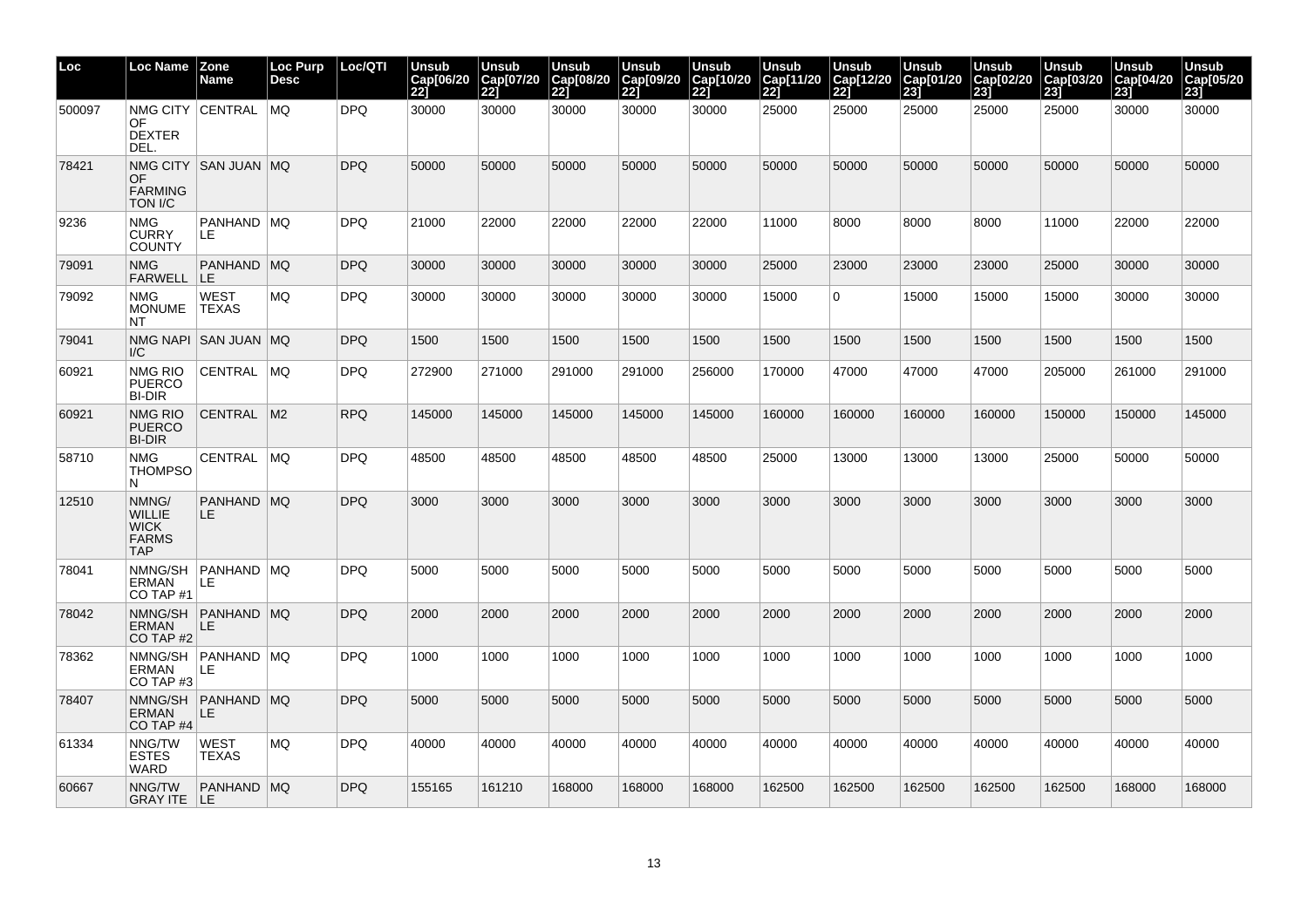| Loc    | <b>Loc Name</b>                                              | <b>Zone</b><br><b>Name</b>     | Loc Purp<br><b>Desc</b> | Loc/QTI    | <b>Unsub</b><br>Cap[06/20<br>221 | Unsub<br>Cap[07/20<br>221 | <b>Unsub</b><br>Cap[08/20<br>$\overline{221}$ | <b>Unsub</b><br>Cap[09/20<br>221 | <b>Unsub</b><br>Cap[10/20<br>221 | <b>Unsub</b><br>Cap[11/20<br>221 | Unsub<br>Cap[12/20<br>221 | <b>Unsub</b><br>Cap[01/20<br>$\overline{231}$ | <b>Unsub</b><br>Cap[02/20<br>231 | <b>Unsub</b><br>Cap[03/20<br>231 | <b>Unsub</b><br>Cap[04/20<br>231 | <b>Unsub</b><br>Cap[05/20<br>23j |
|--------|--------------------------------------------------------------|--------------------------------|-------------------------|------------|----------------------------------|---------------------------|-----------------------------------------------|----------------------------------|----------------------------------|----------------------------------|---------------------------|-----------------------------------------------|----------------------------------|----------------------------------|----------------------------------|----------------------------------|
| 500097 | OF<br><b>DEXTER</b><br>DEL.                                  | NMG CITY CENTRAL MQ            |                         | <b>DPQ</b> | 30000                            | 30000                     | 30000                                         | 30000                            | 30000                            | 25000                            | 25000                     | 25000                                         | 25000                            | 25000                            | 30000                            | 30000                            |
| 78421  | OF<br><b>FARMING</b><br>TON I/C                              | NMG CITY   SAN JUAN   MQ       |                         | <b>DPQ</b> | 50000                            | 50000                     | 50000                                         | 50000                            | 50000                            | 50000                            | 50000                     | 50000                                         | 50000                            | 50000                            | 50000                            | 50000                            |
| 9236   | <b>NMG</b><br><b>CURRY</b><br><b>COUNTY</b>                  | PANHAND MQ<br>LE.              |                         | <b>DPQ</b> | 21000                            | 22000                     | 22000                                         | 22000                            | 22000                            | 11000                            | 8000                      | 8000                                          | 8000                             | 11000                            | 22000                            | 22000                            |
| 79091  | <b>NMG</b><br>FARWELL LE                                     | PANHAND MQ                     |                         | <b>DPQ</b> | 30000                            | 30000                     | 30000                                         | 30000                            | 30000                            | 25000                            | 23000                     | 23000                                         | 23000                            | 25000                            | 30000                            | 30000                            |
| 79092  | NMG<br><b>MONUME</b><br>NT                                   | <b>WEST</b><br><b>TEXAS</b>    | MQ                      | <b>DPQ</b> | 30000                            | 30000                     | 30000                                         | 30000                            | 30000                            | 15000                            | $\mathbf 0$               | 15000                                         | 15000                            | 15000                            | 30000                            | 30000                            |
| 79041  | I/C                                                          | NMG NAPI ISAN JUAN IMQ         |                         | <b>DPQ</b> | 1500                             | 1500                      | 1500                                          | 1500                             | 1500                             | 1500                             | 1500                      | 1500                                          | 1500                             | 1500                             | 1500                             | 1500                             |
| 60921  | NMG RIO<br><b>PUERCO</b><br><b>BI-DIR</b>                    | CENTRAL                        | MQ                      | <b>DPQ</b> | 272900                           | 271000                    | 291000                                        | 291000                           | 256000                           | 170000                           | 47000                     | 47000                                         | 47000                            | 205000                           | 261000                           | 291000                           |
| 60921  | <b>NMG RIO</b><br><b>PUERCO</b><br><b>BI-DIR</b>             | CENTRAL   M2                   |                         | <b>RPQ</b> | 145000                           | 145000                    | 145000                                        | 145000                           | 145000                           | 160000                           | 160000                    | 160000                                        | 160000                           | 150000                           | 150000                           | 145000                           |
| 58710  | <b>NMG</b><br>THOMPSO<br>N                                   | CENTRAL MQ                     |                         | <b>DPQ</b> | 48500                            | 48500                     | 48500                                         | 48500                            | 48500                            | 25000                            | 13000                     | 13000                                         | 13000                            | 25000                            | 50000                            | 50000                            |
| 12510  | NMNG/<br><b>WILLIE</b><br><b>WICK</b><br><b>FARMS</b><br>TAP | PANHAND MQ<br>LE.              |                         | <b>DPQ</b> | 3000                             | 3000                      | 3000                                          | 3000                             | 3000                             | 3000                             | 3000                      | 3000                                          | 3000                             | 3000                             | 3000                             | 3000                             |
| 78041  | <b>ERMAN</b><br>CO TAP #1                                    | NMNG/SH   PANHAND   MQ<br>ILE. |                         | <b>DPQ</b> | 5000                             | 5000                      | 5000                                          | 5000                             | 5000                             | 5000                             | 5000                      | 5000                                          | 5000                             | 5000                             | 5000                             | 5000                             |
| 78042  | <b>ERMAN</b><br>CO TAP#2                                     | NMNG/SH PANHAND MQ<br>ILE.     |                         | <b>DPQ</b> | 2000                             | 2000                      | 2000                                          | 2000                             | 2000                             | 2000                             | 2000                      | 2000                                          | 2000                             | 2000                             | 2000                             | 2000                             |
| 78362  | <b>ERMAN</b><br>CO TAP #3                                    | NMNG/SH   PANHAND   MQ<br>LE   |                         | <b>DPQ</b> | 1000                             | 1000                      | 1000                                          | 1000                             | 1000                             | 1000                             | 1000                      | 1000                                          | 1000                             | 1000                             | 1000                             | 1000                             |
| 78407  | <b>ERMAN</b><br>CO TAP #4                                    | NMNG/SH PANHAND MQ<br>ILE.     |                         | <b>DPQ</b> | 5000                             | 5000                      | 5000                                          | 5000                             | 5000                             | 5000                             | 5000                      | 5000                                          | 5000                             | 5000                             | 5000                             | 5000                             |
| 61334  | NNG/TW<br><b>ESTES</b><br>WARD                               | WEST<br><b>TEXAS</b>           | MQ                      | <b>DPQ</b> | 40000                            | 40000                     | 40000                                         | 40000                            | 40000                            | 40000                            | 40000                     | 40000                                         | 40000                            | 40000                            | 40000                            | 40000                            |
| 60667  | NNG/TW<br>GRAY ITE LE                                        | PANHAND MQ                     |                         | <b>DPQ</b> | 155165                           | 161210                    | 168000                                        | 168000                           | 168000                           | 162500                           | 162500                    | 162500                                        | 162500                           | 162500                           | 168000                           | 168000                           |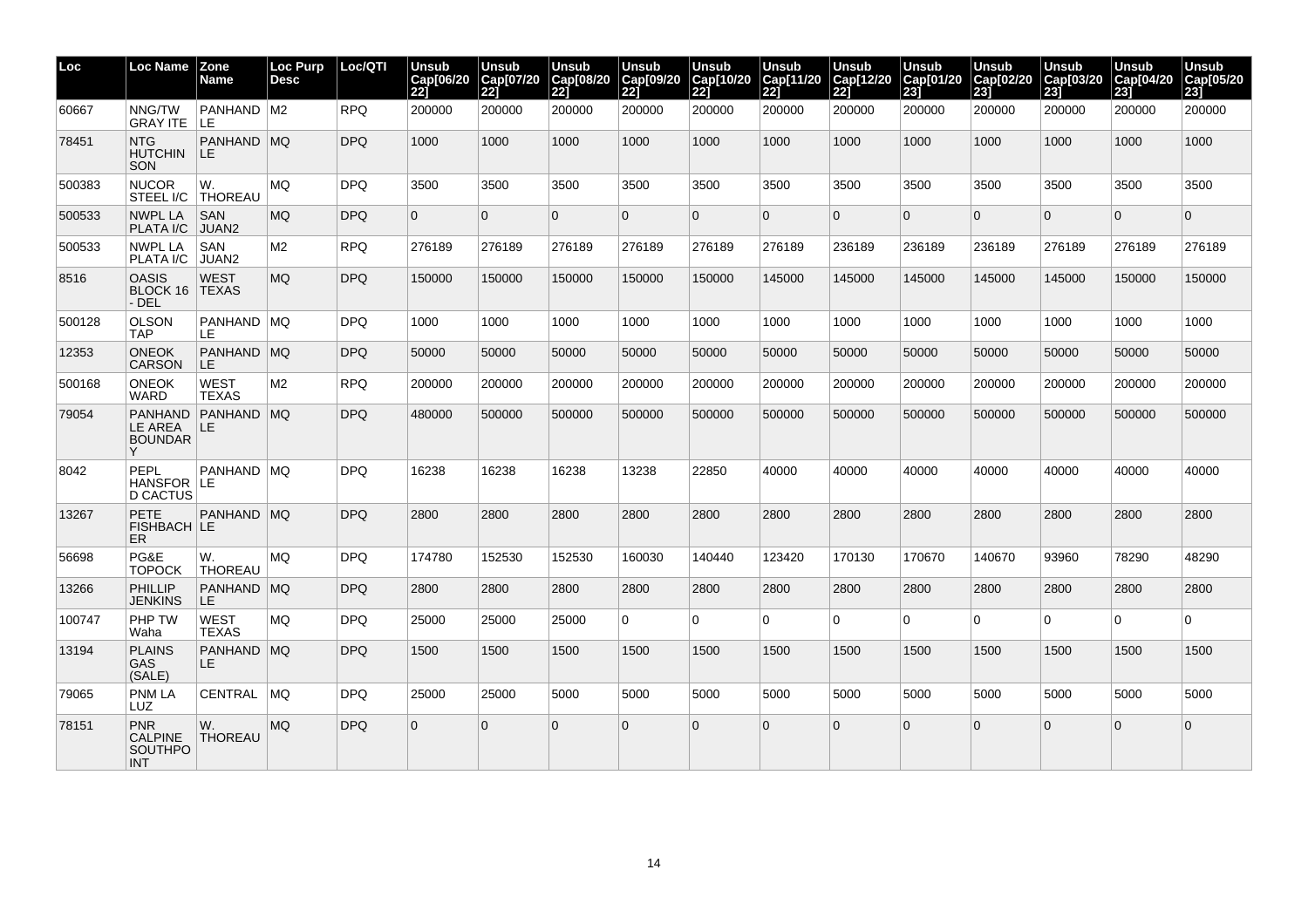| Loc    | Loc Name                                                     | <b>Zone</b><br>Name         | <b>Loc Purp</b><br><b>Desc</b> | Loc/QTI    | Unsub<br>Cap[06/20<br>221 | Unsub<br>Cap[07/20<br>22j | <b>Unsub</b><br>Cap[08/20]<br>$\overline{221}$ | Unsub<br>Cap[09/20<br>221 | Unsub<br>Cap[10/20<br>221 | Unsub<br>Cap[11/20<br>221 | Unsub<br>Cap[12/20<br>22j | <b>Unsub</b><br>Cap[01/20<br>$\overline{231}$ | <b>Unsub</b><br>Cap[02/20<br>231 | Unsub<br>Cap[03/20<br>231 | Unsub<br>Cap[04/20<br>231 | Unsub<br>Cap[05/20<br>23j |
|--------|--------------------------------------------------------------|-----------------------------|--------------------------------|------------|---------------------------|---------------------------|------------------------------------------------|---------------------------|---------------------------|---------------------------|---------------------------|-----------------------------------------------|----------------------------------|---------------------------|---------------------------|---------------------------|
| 60667  | NNG/TW<br>GRAY ITE                                           | PANHAND M2<br>ILE.          |                                | <b>RPQ</b> | 200000                    | 200000                    | 200000                                         | 200000                    | 200000                    | 200000                    | 200000                    | 200000                                        | 200000                           | 200000                    | 200000                    | 200000                    |
| 78451  | <b>NTG</b><br><b>HUTCHIN</b><br><b>SON</b>                   | PANHAND MQ<br>ILE.          |                                | <b>DPQ</b> | 1000                      | 1000                      | 1000                                           | 1000                      | 1000                      | 1000                      | 1000                      | 1000                                          | 1000                             | 1000                      | 1000                      | 1000                      |
| 500383 | <b>NUCOR</b>                                                 | W.<br>STEEL I/C THOREAU     | <b>MQ</b>                      | <b>DPQ</b> | 3500                      | 3500                      | 3500                                           | 3500                      | 3500                      | 3500                      | 3500                      | 3500                                          | 3500                             | 3500                      | 3500                      | 3500                      |
| 500533 | <b>NWPL LA</b><br>PLATA I/C                                  | SAN<br>JUAN2                | <b>MQ</b>                      | <b>DPQ</b> | $\Omega$                  | $\Omega$                  | $\overline{0}$                                 | $\Omega$                  | $\Omega$                  | $\Omega$                  | $\Omega$                  | $\overline{0}$                                | $\Omega$                         | $\Omega$                  | $\Omega$                  | $\Omega$                  |
| 500533 | <b>NWPL LA</b><br>PLATA I/C                                  | SAN<br>JUAN2                | M <sub>2</sub>                 | <b>RPQ</b> | 276189                    | 276189                    | 276189                                         | 276189                    | 276189                    | 276189                    | 236189                    | 236189                                        | 236189                           | 276189                    | 276189                    | 276189                    |
| 8516   | <b>OASIS</b><br>BLOCK 16   TEXAS<br>- DEL                    | <b>WEST</b>                 | <b>MQ</b>                      | <b>DPQ</b> | 150000                    | 150000                    | 150000                                         | 150000                    | 150000                    | 145000                    | 145000                    | 145000                                        | 145000                           | 145000                    | 150000                    | 150000                    |
| 500128 | <b>OLSON</b><br><b>TAP</b>                                   | PANHAND MQ<br>LE.           |                                | <b>DPQ</b> | 1000                      | 1000                      | 1000                                           | 1000                      | 1000                      | 1000                      | 1000                      | 1000                                          | 1000                             | 1000                      | 1000                      | 1000                      |
| 12353  | <b>ONEOK</b><br><b>CARSON</b>                                | PANHAND MQ<br>LE.           |                                | <b>DPQ</b> | 50000                     | 50000                     | 50000                                          | 50000                     | 50000                     | 50000                     | 50000                     | 50000                                         | 50000                            | 50000                     | 50000                     | 50000                     |
| 500168 | <b>ONEOK</b><br>WARD                                         | <b>WEST</b><br><b>TEXAS</b> | M2                             | <b>RPQ</b> | 200000                    | 200000                    | 200000                                         | 200000                    | 200000                    | 200000                    | 200000                    | 200000                                        | 200000                           | 200000                    | 200000                    | 200000                    |
| 79054  | LE AREA<br><b>BOUNDAR</b>                                    | PANHAND PANHAND MQ<br>ILE.  |                                | <b>DPQ</b> | 480000                    | 500000                    | 500000                                         | 500000                    | 500000                    | 500000                    | 500000                    | 500000                                        | 500000                           | 500000                    | 500000                    | 500000                    |
| 8042   | PEPL<br>HANSFOR LE<br><b>D CACTUS</b>                        | PANHAND MQ                  |                                | <b>DPQ</b> | 16238                     | 16238                     | 16238                                          | 13238                     | 22850                     | 40000                     | 40000                     | 40000                                         | 40000                            | 40000                     | 40000                     | 40000                     |
| 13267  | <b>PETE</b><br>FISHBACH LE<br>ER.                            | PANHAND MQ                  |                                | DPQ        | 2800                      | 2800                      | 2800                                           | 2800                      | 2800                      | 2800                      | 2800                      | 2800                                          | 2800                             | 2800                      | 2800                      | 2800                      |
| 56698  | PG&E<br><b>TOPOCK</b>                                        | W.<br><b>THOREAU</b>        | MQ                             | <b>DPQ</b> | 174780                    | 152530                    | 152530                                         | 160030                    | 140440                    | 123420                    | 170130                    | 170670                                        | 140670                           | 93960                     | 78290                     | 48290                     |
| 13266  | PHILLIP<br><b>JENKINS</b>                                    | PANHAND MQ<br>LE.           |                                | <b>DPQ</b> | 2800                      | 2800                      | 2800                                           | 2800                      | 2800                      | 2800                      | 2800                      | 2800                                          | 2800                             | 2800                      | 2800                      | 2800                      |
| 100747 | <b>PHP TW</b><br>Waha                                        | <b>WEST</b><br><b>TEXAS</b> | MQ                             | DPQ        | 25000                     | 25000                     | 25000                                          | $\Omega$                  | $\Omega$                  | $\Omega$                  | $\Omega$                  | $\overline{0}$                                | $\Omega$                         | $\Omega$                  | $\Omega$                  | $\Omega$                  |
| 13194  | <b>PLAINS</b><br><b>GAS</b><br>(SALE)                        | PANHAND MQ<br>LE.           |                                | <b>DPQ</b> | 1500                      | 1500                      | 1500                                           | 1500                      | 1500                      | 1500                      | 1500                      | 1500                                          | 1500                             | 1500                      | 1500                      | 1500                      |
| 79065  | <b>PNM LA</b><br>LUZ                                         | <b>CENTRAL</b>              | MQ                             | <b>DPQ</b> | 25000                     | 25000                     | 5000                                           | 5000                      | 5000                      | 5000                      | 5000                      | 5000                                          | 5000                             | 5000                      | 5000                      | 5000                      |
| 78151  | <b>PNR</b><br><b>CALPINE</b><br><b>SOUTHPO</b><br><b>INT</b> | W.<br><b>THOREAU</b>        | <b>MQ</b>                      | <b>DPQ</b> | $\Omega$                  | $\Omega$                  | 0                                              | $\Omega$                  | $\Omega$                  | $\Omega$                  | $\Omega$                  | $\overline{0}$                                | $\Omega$                         | $\Omega$                  | $\Omega$                  | $\Omega$                  |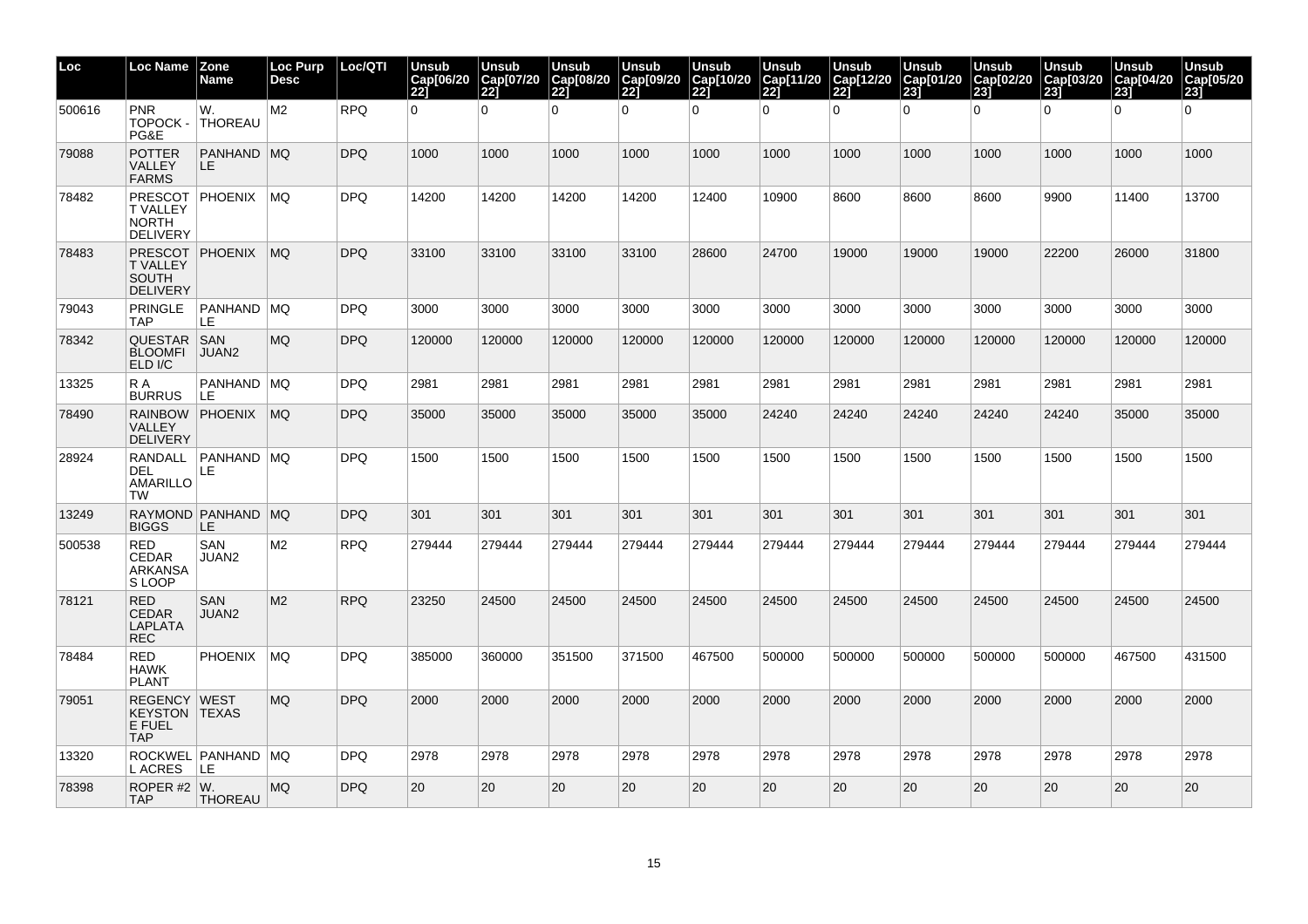| Loc    | Loc Name                                                                   | <b>Zone</b><br><b>Name</b> | <b>Loc Purp</b><br><b>Desc</b> | Loc/QTI    | Unsub<br>Cap[06/20<br><b>221</b> | Unsub<br>Cap[07/20<br>221 | <b>Unsub</b><br>Cap[08/20<br> 22] | Unsub<br>Cap[09/20<br>221 | <b>Unsub</b><br>Cap[10/20<br><b>221</b> | Unsub<br>Cap[11/20<br>221 | Unsub<br>Cap[12/20<br>221 | <b>Unsub</b><br>Cap[01/20<br>23 | Unsub<br>Cap[02/20<br>231 | <b>Unsub</b><br>Cap[03/20<br>231 | <b>Unsub</b><br>Cap[04/20<br>231 | <b>Unsub</b><br>Cap[05/20<br>23 |
|--------|----------------------------------------------------------------------------|----------------------------|--------------------------------|------------|----------------------------------|---------------------------|-----------------------------------|---------------------------|-----------------------------------------|---------------------------|---------------------------|---------------------------------|---------------------------|----------------------------------|----------------------------------|---------------------------------|
| 500616 | <b>PNR</b><br>TOPOCK -<br>PG&E                                             | W.<br><b>THOREAU</b>       | M2                             | <b>RPQ</b> | $\Omega$                         | $\Omega$                  | 0                                 | $\overline{0}$            | $\mathbf 0$                             | $\Omega$                  | $\Omega$                  | $\overline{0}$                  | $\overline{0}$            | $\mathbf 0$                      | $\Omega$                         | $\Omega$                        |
| 79088  | <b>POTTER</b><br>VALLEY<br><b>FARMS</b>                                    | PANHAND MQ<br>LE.          |                                | <b>DPQ</b> | 1000                             | 1000                      | 1000                              | 1000                      | 1000                                    | 1000                      | 1000                      | 1000                            | 1000                      | 1000                             | 1000                             | 1000                            |
| 78482  | <b>PRESCOT</b><br><b>T VALLEY</b><br><b>NORTH</b><br><b>DELIVERY</b>       | <b>PHOENIX</b>             | MQ                             | DPQ        | 14200                            | 14200                     | 14200                             | 14200                     | 12400                                   | 10900                     | 8600                      | 8600                            | 8600                      | 9900                             | 11400                            | 13700                           |
| 78483  | <b>T VALLEY</b><br><b>SOUTH</b><br><b>DELIVERY</b>                         | PRESCOT PHOENIX            | MQ                             | <b>DPQ</b> | 33100                            | 33100                     | 33100                             | 33100                     | 28600                                   | 24700                     | 19000                     | 19000                           | 19000                     | 22200                            | 26000                            | 31800                           |
| 79043  | <b>PRINGLE</b><br><b>TAP</b>                                               | PANHAND   MQ<br>LE         |                                | <b>DPQ</b> | 3000                             | 3000                      | 3000                              | 3000                      | 3000                                    | 3000                      | 3000                      | 3000                            | 3000                      | 3000                             | 3000                             | 3000                            |
| 78342  | QUESTAR SAN<br><b>BLOOMFI</b><br>ELD I/C                                   | JUAN2                      | MQ                             | DPQ        | 120000                           | 120000                    | 120000                            | 120000                    | 120000                                  | 120000                    | 120000                    | 120000                          | 120000                    | 120000                           | 120000                           | 120000                          |
| 13325  | R A<br><b>BURRUS</b>                                                       | PANHAND MQ<br>LE.          |                                | <b>DPQ</b> | 2981                             | 2981                      | 2981                              | 2981                      | 2981                                    | 2981                      | 2981                      | 2981                            | 2981                      | 2981                             | 2981                             | 2981                            |
| 78490  | <b>VALLEY</b><br><b>DELIVERY</b>                                           | RAINBOW PHOENIX            | MQ                             | <b>DPQ</b> | 35000                            | 35000                     | 35000                             | 35000                     | 35000                                   | 24240                     | 24240                     | 24240                           | 24240                     | 24240                            | 35000                            | 35000                           |
| 28924  | RANDALL<br>DEL<br>AMARILLO<br><b>TW</b>                                    | <b>PANHAND MQ</b><br>LE.   |                                | DPQ        | 1500                             | 1500                      | 1500                              | 1500                      | 1500                                    | 1500                      | 1500                      | 1500                            | 1500                      | 1500                             | 1500                             | 1500                            |
| 13249  | <b>BIGGS</b>                                                               | RAYMOND PANHAND MQ<br>LE.  |                                | <b>DPQ</b> | 301                              | 301                       | 301                               | 301                       | 301                                     | 301                       | 301                       | 301                             | 301                       | 301                              | 301                              | 301                             |
| 500538 | <b>RED</b><br><b>CEDAR</b><br><b>ARKANSA</b><br>S LOOP                     | SAN<br>JUAN2               | M <sub>2</sub>                 | <b>RPQ</b> | 279444                           | 279444                    | 279444                            | 279444                    | 279444                                  | 279444                    | 279444                    | 279444                          | 279444                    | 279444                           | 279444                           | 279444                          |
| 78121  | <b>RED</b><br><b>CEDAR</b><br><b>LAPLATA</b><br><b>REC</b>                 | SAN<br>JUAN2               | M2                             | <b>RPQ</b> | 23250                            | 24500                     | 24500                             | 24500                     | 24500                                   | 24500                     | 24500                     | 24500                           | 24500                     | 24500                            | 24500                            | 24500                           |
| 78484  | RED<br><b>HAWK</b><br><b>PLANT</b>                                         | <b>PHOENIX</b>             | MQ.                            | <b>DPQ</b> | 385000                           | 360000                    | 351500                            | 371500                    | 467500                                  | 500000                    | 500000                    | 500000                          | 500000                    | 500000                           | 467500                           | 431500                          |
| 79051  | <b>REGENCY WEST</b><br><b>KEYSTON TEXAS</b><br><b>E FUEL</b><br><b>TAP</b> |                            | <b>MQ</b>                      | <b>DPQ</b> | 2000                             | 2000                      | 2000                              | 2000                      | 2000                                    | 2000                      | 2000                      | 2000                            | 2000                      | 2000                             | 2000                             | 2000                            |
| 13320  | L ACRES                                                                    | ROCKWEL PANHAND MQ<br>LE.  |                                | <b>DPQ</b> | 2978                             | 2978                      | 2978                              | 2978                      | 2978                                    | 2978                      | 2978                      | 2978                            | 2978                      | 2978                             | 2978                             | 2978                            |
| 78398  | ROPER #2 $\vert W$ .<br><b>TAP</b>                                         | <b>THOREAU</b>             | <b>MQ</b>                      | <b>DPQ</b> | 20                               | 20                        | 20                                | 20                        | 20                                      | 20                        | 20                        | 20                              | 20                        | 20                               | 20                               | 20                              |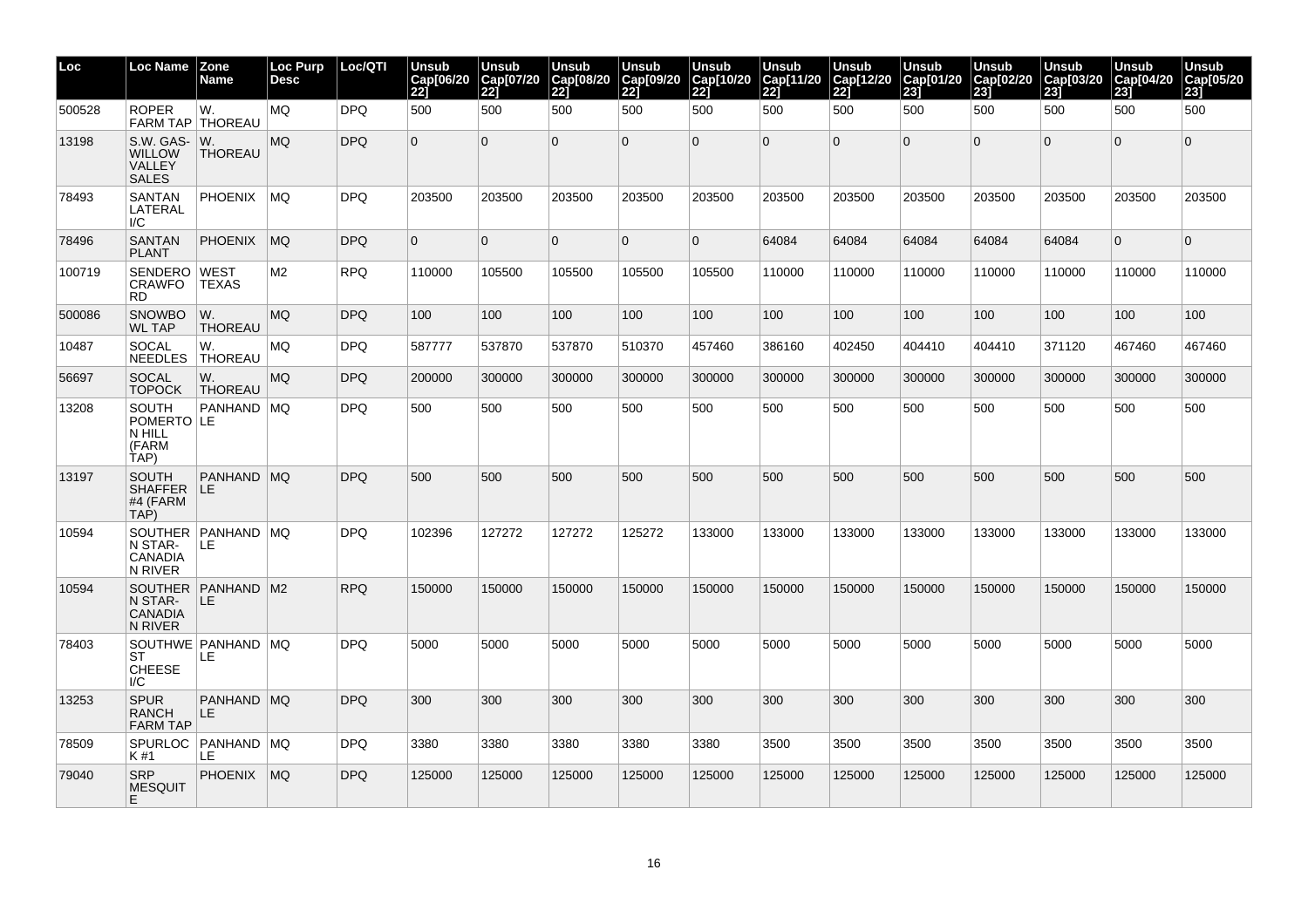| Loc    | Loc Name                                             | Zone<br>Name                | Loc Purp<br>Desc | Loc/QTI    | <b>Unsub</b><br>Cap[06/20<br>221 | <b>Unsub</b><br>Cap[07/20<br><b>221</b> | <b>Unsub</b><br>Cap[08/20<br>$\overline{221}$ | Unsub<br>Cap[09/20<br>221 | <b>Unsub</b><br>Cap[10/20<br>221 | <b>Unsub</b><br>Cap[11/20<br>221 | <b>Unsub</b><br>Cap[12/20<br><b>221</b> | <b>Unsub</b><br>Cap[01/20<br>$\overline{23}$ | Unsub<br>Cap[02/20<br>231 | Unsub<br>Cap[03/20<br>23j | <b>Unsub</b><br>Cap[04/20<br>231 | <b>Unsub</b><br>Cap[05/20<br>23j |
|--------|------------------------------------------------------|-----------------------------|------------------|------------|----------------------------------|-----------------------------------------|-----------------------------------------------|---------------------------|----------------------------------|----------------------------------|-----------------------------------------|----------------------------------------------|---------------------------|---------------------------|----------------------------------|----------------------------------|
| 500528 | <b>ROPER</b><br>FARM TAP   THOREAU                   | W.                          | MQ               | <b>DPQ</b> | 500                              | 500                                     | 500                                           | 500                       | 500                              | 500                              | 500                                     | 500                                          | 500                       | 500                       | 500                              | 500                              |
| 13198  | S.W. GAS-<br><b>WILLOW</b><br>VALLEY<br><b>SALES</b> | W.<br><b>THOREAU</b>        | <b>MQ</b>        | <b>DPQ</b> | $\overline{0}$                   | $\overline{0}$                          | $\Omega$                                      | $\Omega$                  | $\mathbf{0}$                     | $\overline{0}$                   | $\overline{0}$                          | $\Omega$                                     | $\Omega$                  | $\mathbf{0}$              | $\Omega$                         | $\overline{0}$                   |
| 78493  | <b>SANTAN</b><br>LATERAL<br>I/C                      | <b>PHOENIX</b>              | ∣MQ              | <b>DPQ</b> | 203500                           | 203500                                  | 203500                                        | 203500                    | 203500                           | 203500                           | 203500                                  | 203500                                       | 203500                    | 203500                    | 203500                           | 203500                           |
| 78496  | <b>SANTAN</b><br><b>PLANT</b>                        | <b>PHOENIX</b>              | MQ               | <b>DPQ</b> | $\Omega$                         | $\overline{0}$                          | $\Omega$                                      | $\mathbf 0$               | $\overline{0}$                   | 64084                            | 64084                                   | 64084                                        | 64084                     | 64084                     | $\mathbf{0}$                     | $\overline{0}$                   |
| 100719 | SENDERO<br>CRAWFO<br>RD.                             | <b>WEST</b><br><b>TEXAS</b> | M2               | <b>RPQ</b> | 110000                           | 105500                                  | 105500                                        | 105500                    | 105500                           | 110000                           | 110000                                  | 110000                                       | 110000                    | 110000                    | 110000                           | 110000                           |
| 500086 | <b>SNOWBO</b><br>WL TAP                              | W.<br><b>THOREAU</b>        | MQ.              | <b>DPQ</b> | 100                              | 100                                     | 100                                           | 100                       | 100                              | 100                              | 100                                     | 100                                          | 100                       | 100                       | 100                              | 100                              |
| 10487  | <b>SOCAL</b><br>NEEDLES                              | W.<br><b>THOREAU</b>        | MQ               | <b>DPQ</b> | 587777                           | 537870                                  | 537870                                        | 510370                    | 457460                           | 386160                           | 402450                                  | 404410                                       | 404410                    | 371120                    | 467460                           | 467460                           |
| 56697  | <b>SOCAL</b><br><b>TOPOCK</b>                        | W.<br><b>THOREAU</b>        | MQ.              | <b>DPQ</b> | 200000                           | 300000                                  | 300000                                        | 300000                    | 300000                           | 300000                           | 300000                                  | 300000                                       | 300000                    | 300000                    | 300000                           | 300000                           |
| 13208  | SOUTH<br>POMERTO LE<br>N HILL<br>(FARM<br>TAP)       | PANHAND MQ                  |                  | <b>DPQ</b> | 500                              | 500                                     | 500                                           | 500                       | 500                              | 500                              | 500                                     | 500                                          | 500                       | 500                       | 500                              | 500                              |
| 13197  | <b>SOUTH</b><br>SHAFFER<br>#4 (FARM<br>TAP)          | PANHAND MQ<br><b>ILE</b>    |                  | <b>DPQ</b> | 500                              | 500                                     | 500                                           | 500                       | 500                              | 500                              | 500                                     | 500                                          | 500                       | 500                       | 500                              | 500                              |
| 10594  | N STAR-<br>CANADIA<br>N RIVER                        | SOUTHER PANHAND MQ<br>ILE.  |                  | <b>DPQ</b> | 102396                           | 127272                                  | 127272                                        | 125272                    | 133000                           | 133000                           | 133000                                  | 133000                                       | 133000                    | 133000                    | 133000                           | 133000                           |
| 10594  | N STAR-<br><b>CANADIA</b><br>N RIVER                 | SOUTHER PANHAND M2<br>ILE.  |                  | <b>RPQ</b> | 150000                           | 150000                                  | 150000                                        | 150000                    | 150000                           | 150000                           | 150000                                  | 150000                                       | 150000                    | 150000                    | 150000                           | 150000                           |
| 78403  | ST<br><b>CHEESE</b><br>I/C                           | SOUTHWE PANHAND MQ<br>LE    |                  | <b>DPQ</b> | 5000                             | 5000                                    | 5000                                          | 5000                      | 5000                             | 5000                             | 5000                                    | 5000                                         | 5000                      | 5000                      | 5000                             | 5000                             |
| 13253  | <b>SPUR</b><br><b>RANCH</b><br><b>FARM TAP</b>       | PANHAND MQ<br>LE            |                  | <b>DPQ</b> | 300                              | 300                                     | 300                                           | 300                       | 300                              | 300                              | 300                                     | 300                                          | 300                       | 300                       | 300                              | 300                              |
| 78509  | <b>SPURLOC</b><br>K #1                               | PANHAND MQ<br>LE            |                  | <b>DPQ</b> | 3380                             | 3380                                    | 3380                                          | 3380                      | 3380                             | 3500                             | 3500                                    | 3500                                         | 3500                      | 3500                      | 3500                             | 3500                             |
| 79040  | <b>SRP</b><br><b>MESQUIT</b><br>E.                   | <b>PHOENIX</b>              | MQ               | <b>DPQ</b> | 125000                           | 125000                                  | 125000                                        | 125000                    | 125000                           | 125000                           | 125000                                  | 125000                                       | 125000                    | 125000                    | 125000                           | 125000                           |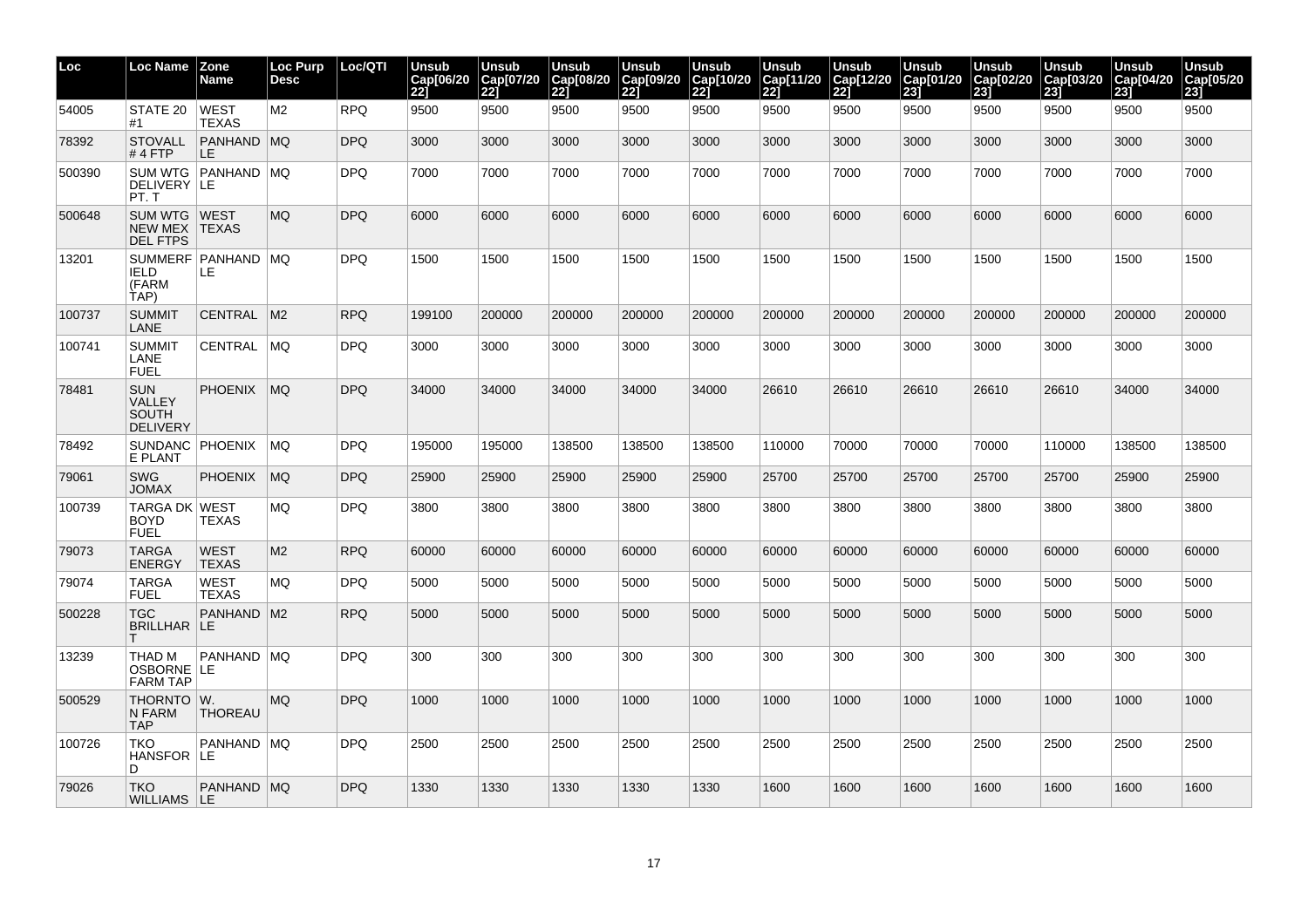| Loc    | Loc Name                                                       | <b>Zone</b><br>Name            | <b>Loc Purp</b><br><b>Desc</b> | Loc/QTI    | Unsub<br>Cap[06/20<br><b>221</b> | Unsub<br>Cap[07/20<br>221 | <b>Unsub</b><br>Cap[08/20<br> 22] | Unsub<br>Cap[09/20<br>221 | <b>Unsub</b><br>Cap[10/20<br>221 | <b>Unsub</b><br>Cap[11/20<br>221 | Unsub<br>Cap[12/20<br>221 | <b>Unsub</b><br>Cap[01/20<br>23j | Unsub<br>Cap[02/20<br>231 | Unsub<br>Cap[03/20<br>23j | <b>Unsub</b><br>Cap[04/20<br>231 | <b>Unsub</b><br>Cap[05/20<br>23j |
|--------|----------------------------------------------------------------|--------------------------------|--------------------------------|------------|----------------------------------|---------------------------|-----------------------------------|---------------------------|----------------------------------|----------------------------------|---------------------------|----------------------------------|---------------------------|---------------------------|----------------------------------|----------------------------------|
| 54005  | STATE 20<br>#1                                                 | <b>WEST</b><br><b>TEXAS</b>    | M <sub>2</sub>                 | <b>RPQ</b> | 9500                             | 9500                      | 9500                              | 9500                      | 9500                             | 9500                             | 9500                      | 9500                             | 9500                      | 9500                      | 9500                             | 9500                             |
| 78392  | <b>STOVALL</b><br>$#4$ FTP                                     | <b>PANHAND MQ</b><br><b>LE</b> |                                | <b>DPQ</b> | 3000                             | 3000                      | 3000                              | 3000                      | 3000                             | 3000                             | 3000                      | 3000                             | 3000                      | 3000                      | 3000                             | 3000                             |
| 500390 | DELIVERY LE<br>PT.T                                            | SUM WTG   PANHAND   MQ         |                                | <b>DPQ</b> | 7000                             | 7000                      | 7000                              | 7000                      | 7000                             | 7000                             | 7000                      | 7000                             | 7000                      | 7000                      | 7000                             | 7000                             |
| 500648 | SUM WTG   WEST<br>NEW MEX <b>TEXAS</b><br><b>DEL FTPS</b>      |                                | <b>MQ</b>                      | <b>DPQ</b> | 6000                             | 6000                      | 6000                              | 6000                      | 6000                             | 6000                             | 6000                      | 6000                             | 6000                      | 6000                      | 6000                             | 6000                             |
| 13201  | <b>IELD</b><br>(FARM<br>TAP)                                   | SUMMERF   PANHAND   MQ<br>LE.  |                                | <b>DPQ</b> | 1500                             | 1500                      | 1500                              | 1500                      | 1500                             | 1500                             | 1500                      | 1500                             | 1500                      | 1500                      | 1500                             | 1500                             |
| 100737 | <b>SUMMIT</b><br>LANE                                          | CENTRAL M2                     |                                | <b>RPQ</b> | 199100                           | 200000                    | 200000                            | 200000                    | 200000                           | 200000                           | 200000                    | 200000                           | 200000                    | 200000                    | 200000                           | 200000                           |
| 100741 | <b>SUMMIT</b><br>LANE<br><b>FUEL</b>                           | CENTRAL                        | MQ                             | DPQ.       | 3000                             | 3000                      | 3000                              | 3000                      | 3000                             | 3000                             | 3000                      | 3000                             | 3000                      | 3000                      | 3000                             | 3000                             |
| 78481  | <b>SUN</b><br><b>VALLEY</b><br><b>SOUTH</b><br><b>DELIVERY</b> | <b>PHOENIX</b>                 | MQ                             | <b>DPQ</b> | 34000                            | 34000                     | 34000                             | 34000                     | 34000                            | 26610                            | 26610                     | 26610                            | 26610                     | 26610                     | 34000                            | 34000                            |
| 78492  | SUNDANC PHOENIX<br>E PLANT                                     |                                | MQ                             | <b>DPQ</b> | 195000                           | 195000                    | 138500                            | 138500                    | 138500                           | 110000                           | 70000                     | 70000                            | 70000                     | 110000                    | 138500                           | 138500                           |
| 79061  | <b>SWG</b><br><b>XAMOL</b>                                     | <b>PHOENIX</b>                 | <b>MQ</b>                      | <b>DPQ</b> | 25900                            | 25900                     | 25900                             | 25900                     | 25900                            | 25700                            | 25700                     | 25700                            | 25700                     | 25700                     | 25900                            | 25900                            |
| 100739 | TARGA DK WEST<br><b>BOYD</b><br><b>FUEL</b>                    | <b>TEXAS</b>                   | MQ                             | <b>DPQ</b> | 3800                             | 3800                      | 3800                              | 3800                      | 3800                             | 3800                             | 3800                      | 3800                             | 3800                      | 3800                      | 3800                             | 3800                             |
| 79073  | <b>TARGA</b><br><b>ENERGY</b>                                  | <b>WEST</b><br><b>TEXAS</b>    | M <sub>2</sub>                 | <b>RPQ</b> | 60000                            | 60000                     | 60000                             | 60000                     | 60000                            | 60000                            | 60000                     | 60000                            | 60000                     | 60000                     | 60000                            | 60000                            |
| 79074  | <b>TARGA</b><br><b>FUEL</b>                                    | <b>WEST</b><br><b>TEXAS</b>    | <b>MQ</b>                      | <b>DPQ</b> | 5000                             | 5000                      | 5000                              | 5000                      | 5000                             | 5000                             | 5000                      | 5000                             | 5000                      | 5000                      | 5000                             | 5000                             |
| 500228 | <b>TGC</b><br>BRILLHAR LE                                      | PANHAND M2                     |                                | <b>RPQ</b> | 5000                             | 5000                      | 5000                              | 5000                      | 5000                             | 5000                             | 5000                      | 5000                             | 5000                      | 5000                      | 5000                             | 5000                             |
| 13239  | THAD M<br>OSBORNE LE<br><b>FARM TAP</b>                        | PANHAND MQ                     |                                | <b>DPQ</b> | 300                              | 300                       | 300                               | 300                       | 300                              | 300                              | 300                       | 300                              | 300                       | 300                       | 300                              | 300                              |
| 500529 | THORNTO W.<br>N FARM<br><b>TAP</b>                             | <b>THOREAU</b>                 | <b>MQ</b>                      | <b>DPQ</b> | 1000                             | 1000                      | 1000                              | 1000                      | 1000                             | 1000                             | 1000                      | 1000                             | 1000                      | 1000                      | 1000                             | 1000                             |
| 100726 | <b>TKO</b><br>HANSFOR LE<br>D.                                 | PANHAND MQ                     |                                | <b>DPQ</b> | 2500                             | 2500                      | 2500                              | 2500                      | 2500                             | 2500                             | 2500                      | 2500                             | 2500                      | 2500                      | 2500                             | 2500                             |
| 79026  | <b>TKO</b><br>WILLIAMS   LE                                    | PANHAND MQ                     |                                | <b>DPQ</b> | 1330                             | 1330                      | 1330                              | 1330                      | 1330                             | 1600                             | 1600                      | 1600                             | 1600                      | 1600                      | 1600                             | 1600                             |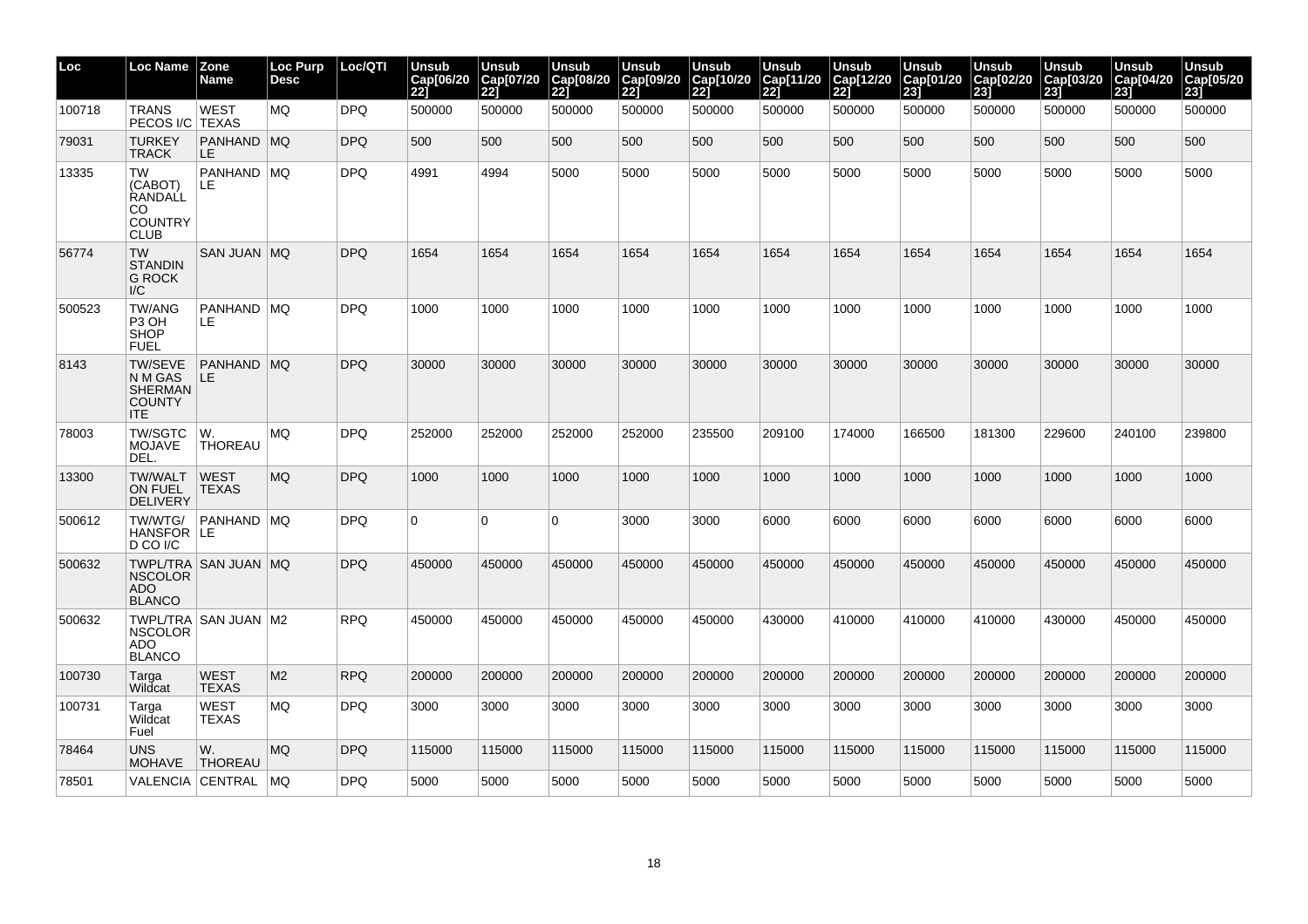| Loc    | Loc Name                                                                   | <b>Zone</b><br>Name         | Loc Purp<br><b>Desc</b> | Loc/QTI    | Unsub<br>Cap[06/20<br>221 | Unsub<br>Cap[07/20<br>221 | <b>Unsub</b><br>Cap[08/20<br>221 | <b>Unsub</b><br>Cap[09/20<br>221 | Unsub<br>Cap[10/20<br>221 | Unsub<br>Cap[11/20<br>221 | Unsub<br>Cap[12/20<br>221 | <b>Unsub</b><br>Cap[01/20<br>231 | <b>Unsub</b><br>Cap[02/20<br>231 | Unsub<br>Cap[03/20<br>231 | Unsub<br>Cap[04/20<br>231 | Unsub<br>Cap[05/20<br>231 |
|--------|----------------------------------------------------------------------------|-----------------------------|-------------------------|------------|---------------------------|---------------------------|----------------------------------|----------------------------------|---------------------------|---------------------------|---------------------------|----------------------------------|----------------------------------|---------------------------|---------------------------|---------------------------|
| 100718 | <b>TRANS</b><br>PECOS I/C TEXAS                                            | <b>WEST</b>                 | <b>MQ</b>               | <b>DPQ</b> | 500000                    | 500000                    | 500000                           | 500000                           | 500000                    | 500000                    | 500000                    | 500000                           | 500000                           | 500000                    | 500000                    | 500000                    |
| 79031  | <b>TURKEY</b><br><b>TRACK</b>                                              | PANHAND MQ<br>LE.           |                         | DPQ        | 500                       | 500                       | 500                              | 500                              | 500                       | 500                       | 500                       | 500                              | 500                              | 500                       | 500                       | 500                       |
| 13335  | <b>TW</b><br>(CABOT)<br>RANDALL<br>CO.<br><b>COUNTRY</b><br><b>CLUB</b>    | PANHAND   MQ<br>LE.         |                         | <b>DPQ</b> | 4991                      | 4994                      | 5000                             | 5000                             | 5000                      | 5000                      | 5000                      | 5000                             | 5000                             | 5000                      | 5000                      | 5000                      |
| 56774  | <b>TW</b><br><b>STANDIN</b><br><b>G ROCK</b><br>I/C                        | SAN JUAN   MQ               |                         | <b>DPQ</b> | 1654                      | 1654                      | 1654                             | 1654                             | 1654                      | 1654                      | 1654                      | 1654                             | 1654                             | 1654                      | 1654                      | 1654                      |
| 500523 | TW/ANG<br>P <sub>3</sub> OH<br><b>SHOP</b><br><b>FUEL</b>                  | PANHAND   MQ<br>LE.         |                         | <b>DPQ</b> | 1000                      | 1000                      | 1000                             | 1000                             | 1000                      | 1000                      | 1000                      | 1000                             | 1000                             | 1000                      | 1000                      | 1000                      |
| 8143   | <b>TW/SEVE</b><br>N M GAS<br><b>SHERMAN</b><br><b>COUNTY</b><br><b>ITE</b> | PANHAND   MQ<br>LE.         |                         | <b>DPQ</b> | 30000                     | 30000                     | 30000                            | 30000                            | 30000                     | 30000                     | 30000                     | 30000                            | 30000                            | 30000                     | 30000                     | 30000                     |
| 78003  | <b>TW/SGTC</b><br><b>MOJAVE</b><br>DEL.                                    | W.<br><b>THOREAU</b>        | <b>MQ</b>               | <b>DPQ</b> | 252000                    | 252000                    | 252000                           | 252000                           | 235500                    | 209100                    | 174000                    | 166500                           | 181300                           | 229600                    | 240100                    | 239800                    |
| 13300  | <b>TW/WALT</b><br><b>ON FUEL</b><br><b>DELIVERY</b>                        | <b>WEST</b><br><b>TEXAS</b> | MQ.                     | DPQ        | 1000                      | 1000                      | 1000                             | 1000                             | 1000                      | 1000                      | 1000                      | 1000                             | 1000                             | 1000                      | 1000                      | 1000                      |
| 500612 | TW/WTG/<br>HANSFOR LE<br>D CO I/C                                          | PANHAND   MQ                |                         | <b>DPQ</b> | $\Omega$                  | $\Omega$                  | 0                                | 3000                             | 3000                      | 6000                      | 6000                      | 6000                             | 6000                             | 6000                      | 6000                      | 6000                      |
| 500632 | <b>NSCOLOR</b><br>ADO.<br><b>BLANCO</b>                                    | TWPL/TRA SAN JUAN MQ        |                         | DPQ        | 450000                    | 450000                    | 450000                           | 450000                           | 450000                    | 450000                    | 450000                    | 450000                           | 450000                           | 450000                    | 450000                    | 450000                    |
| 500632 | <b>NSCOLOR</b><br>ADO.<br><b>BLANCO</b>                                    | TWPL/TRA   SAN JUAN   M2    |                         | <b>RPQ</b> | 450000                    | 450000                    | 450000                           | 450000                           | 450000                    | 430000                    | 410000                    | 410000                           | 410000                           | 430000                    | 450000                    | 450000                    |
| 100730 | Targa<br>Wildcat                                                           | <b>WEST</b><br><b>TEXAS</b> | M <sub>2</sub>          | <b>RPQ</b> | 200000                    | 200000                    | 200000                           | 200000                           | 200000                    | 200000                    | 200000                    | 200000                           | 200000                           | 200000                    | 200000                    | 200000                    |
| 100731 | Targa<br>Wildcat<br>Fuel                                                   | <b>WEST</b><br><b>TEXAS</b> | <b>MQ</b>               | <b>DPQ</b> | 3000                      | 3000                      | 3000                             | 3000                             | 3000                      | 3000                      | 3000                      | 3000                             | 3000                             | 3000                      | 3000                      | 3000                      |
| 78464  | <b>UNS</b><br><b>MOHAVE</b>                                                | W.<br><b>THOREAU</b>        | <b>MQ</b>               | DPQ        | 115000                    | 115000                    | 115000                           | 115000                           | 115000                    | 115000                    | 115000                    | 115000                           | 115000                           | 115000                    | 115000                    | 115000                    |
| 78501  | VALENCIA CENTRAL                                                           |                             | MQ                      | <b>DPQ</b> | 5000                      | 5000                      | 5000                             | 5000                             | 5000                      | 5000                      | 5000                      | 5000                             | 5000                             | 5000                      | 5000                      | 5000                      |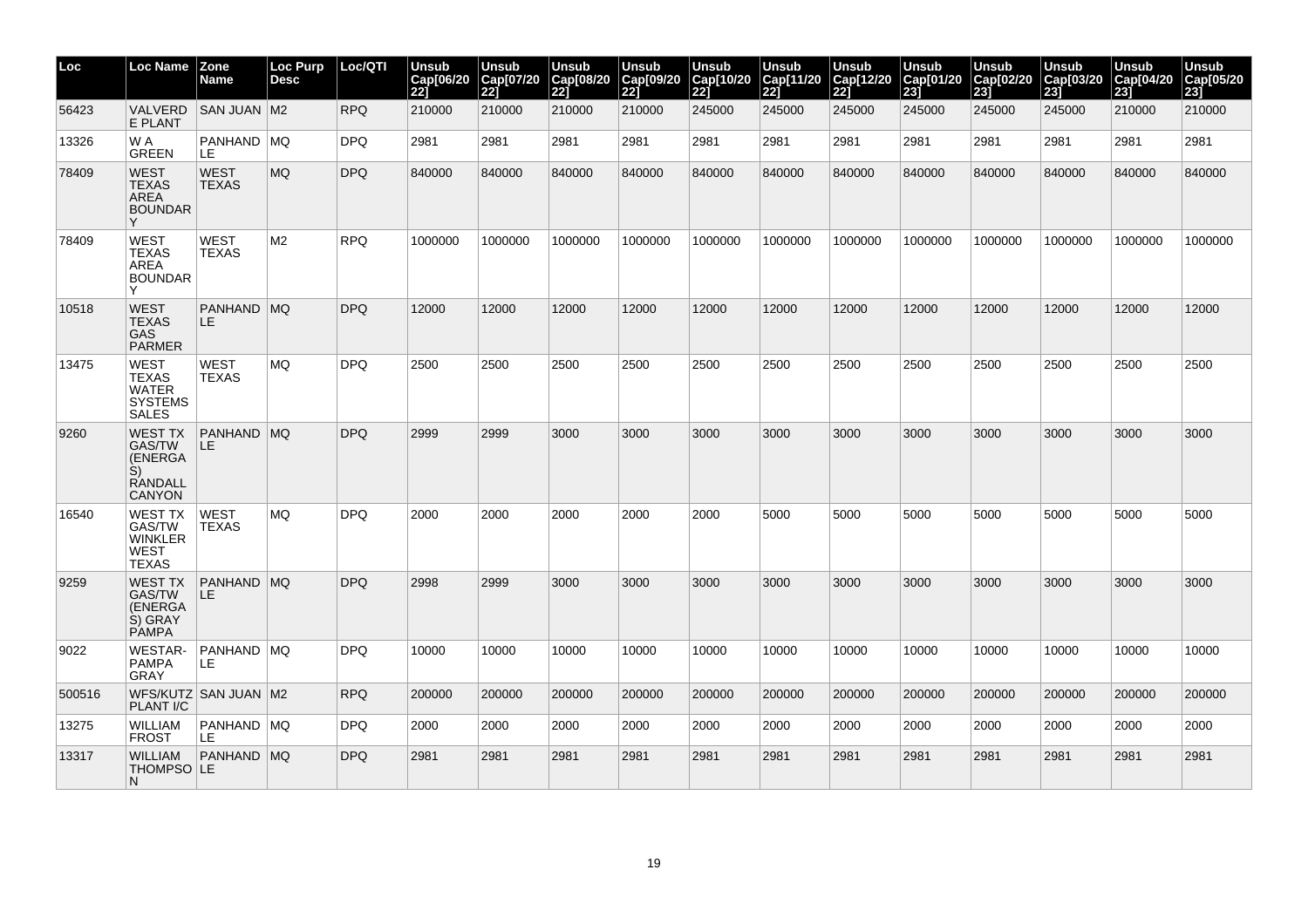| Loc    | <b>Loc Name</b>                                                              | <b>Zone</b><br>Name         | Loc Purp<br><b>Desc</b> | Loc/QTI    | <b>Unsub</b><br>Cap[06/20<br>221 | <b>Unsub</b><br>Cap[07/20<br>221 | <b>Unsub</b><br>Cap[08/20<br>22] | Unsub<br>Cap[09/20<br>221 | <b>Unsub</b><br>Cap[10/20<br>221 | <b>Unsub</b><br>Cap[11/20<br>221 | <b>Unsub</b><br>Cap[12/20<br>221 | <b>Unsub</b><br>Cap[01/20<br>23] | Unsub<br>Cap[02/20<br>231 | <b>Unsub</b><br>Cap[03/20<br>231 | <b>Unsub</b><br>Cap[04/20<br>231 | <b>Unsub</b><br>Cap[05/20<br>23] |
|--------|------------------------------------------------------------------------------|-----------------------------|-------------------------|------------|----------------------------------|----------------------------------|----------------------------------|---------------------------|----------------------------------|----------------------------------|----------------------------------|----------------------------------|---------------------------|----------------------------------|----------------------------------|----------------------------------|
| 56423  | <b>VALVERD</b><br>E PLANT                                                    | <b>SAN JUAN M2</b>          |                         | <b>RPQ</b> | 210000                           | 210000                           | 210000                           | 210000                    | 245000                           | 245000                           | 245000                           | 245000                           | 245000                    | 245000                           | 210000                           | 210000                           |
| 13326  | W A<br><b>GREEN</b>                                                          | PANHAND MQ<br>LE            |                         | <b>DPQ</b> | 2981                             | 2981                             | 2981                             | 2981                      | 2981                             | 2981                             | 2981                             | 2981                             | 2981                      | 2981                             | 2981                             | 2981                             |
| 78409  | <b>WEST</b><br>TEXAS<br><b>AREA</b><br><b>BOUNDAR</b><br>Y                   | <b>WEST</b><br><b>TEXAS</b> | <b>MQ</b>               | <b>DPQ</b> | 840000                           | 840000                           | 840000                           | 840000                    | 840000                           | 840000                           | 840000                           | 840000                           | 840000                    | 840000                           | 840000                           | 840000                           |
| 78409  | WEST<br>TEXAS<br>AREA<br><b>BOUNDAR</b><br>$\checkmark$                      | <b>WEST</b><br><b>TEXAS</b> | M <sub>2</sub>          | <b>RPQ</b> | 1000000                          | 1000000                          | 1000000                          | 1000000                   | 1000000                          | 1000000                          | 1000000                          | 1000000                          | 1000000                   | 1000000                          | 1000000                          | 1000000                          |
| 10518  | <b>WEST</b><br>TEXAS<br><b>GAS</b><br><b>PARMER</b>                          | PANHAND MQ<br>LE.           |                         | <b>DPQ</b> | 12000                            | 12000                            | 12000                            | 12000                     | 12000                            | 12000                            | 12000                            | 12000                            | 12000                     | 12000                            | 12000                            | 12000                            |
| 13475  | WEST<br>TEXAS<br>WATER<br><b>SYSTEMS</b><br><b>SALES</b>                     | <b>WEST</b><br><b>TEXAS</b> | MQ.                     | <b>DPQ</b> | 2500                             | 2500                             | 2500                             | 2500                      | 2500                             | 2500                             | 2500                             | 2500                             | 2500                      | 2500                             | 2500                             | 2500                             |
| 9260   | <b>WEST TX</b><br>GAS/TW<br>(ENERGA<br>S)<br><b>RANDALL</b><br><b>CANYON</b> | PANHAND MQ<br>LE.           |                         | <b>DPQ</b> | 2999                             | 2999                             | 3000                             | 3000                      | 3000                             | 3000                             | 3000                             | 3000                             | 3000                      | 3000                             | 3000                             | 3000                             |
| 16540  | WEST TX<br>GAS/TW<br>WINKLER<br>WEST<br>TEXAS                                | <b>WEST</b><br>TEXAS        | <b>MQ</b>               | <b>DPQ</b> | 2000                             | 2000                             | 2000                             | 2000                      | 2000                             | 5000                             | 5000                             | 5000                             | 5000                      | 5000                             | 5000                             | 5000                             |
| 9259   | <b>WEST TX</b><br>GAS/TW<br>(ENERGA<br>S) GRAY<br><b>PAMPA</b>               | PANHAND   MQ<br>LE          |                         | <b>DPQ</b> | 2998                             | 2999                             | 3000                             | 3000                      | 3000                             | 3000                             | 3000                             | 3000                             | 3000                      | 3000                             | 3000                             | 3000                             |
| 9022   | <b>WESTAR-</b><br><b>PAMPA</b><br>GRAY                                       | PANHAND   MQ<br>LE          |                         | <b>DPQ</b> | 10000                            | 10000                            | 10000                            | 10000                     | 10000                            | 10000                            | 10000                            | 10000                            | 10000                     | 10000                            | 10000                            | 10000                            |
| 500516 | <b>PLANT I/C</b>                                                             | WFS/KUTZ   SAN JUAN   M2    |                         | <b>RPQ</b> | 200000                           | 200000                           | 200000                           | 200000                    | 200000                           | 200000                           | 200000                           | 200000                           | 200000                    | 200000                           | 200000                           | 200000                           |
| 13275  | <b>WILLIAM</b><br>FROST                                                      | <b>PANHAND MQ</b><br>LE     |                         | <b>DPQ</b> | 2000                             | 2000                             | 2000                             | 2000                      | 2000                             | 2000                             | 2000                             | 2000                             | 2000                      | 2000                             | 2000                             | 2000                             |
| 13317  | <b>WILLIAM</b><br>THOMPSO LE<br>N.                                           | PANHAND MQ                  |                         | <b>DPQ</b> | 2981                             | 2981                             | 2981                             | 2981                      | 2981                             | 2981                             | 2981                             | 2981                             | 2981                      | 2981                             | 2981                             | 2981                             |